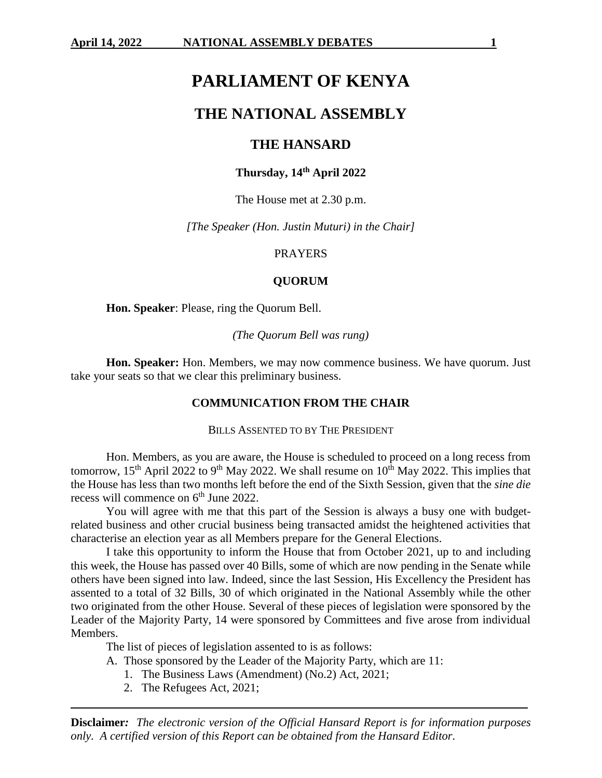# **PARLIAMENT OF KENYA**

# **THE NATIONAL ASSEMBLY**

# **THE HANSARD**

# **Thursday, 14th April 2022**

The House met at 2.30 p.m.

*[The Speaker (Hon. Justin Muturi) in the Chair]*

#### PRAYERS

### **QUORUM**

**Hon. Speaker**: Please, ring the Quorum Bell.

*(The Quorum Bell was rung)*

**Hon. Speaker:** Hon. Members, we may now commence business. We have quorum. Just take your seats so that we clear this preliminary business.

#### **COMMUNICATION FROM THE CHAIR**

#### BILLS ASSENTED TO BY THE PRESIDENT

Hon. Members, as you are aware, the House is scheduled to proceed on a long recess from tomorrow,  $15<sup>th</sup>$  April 2022 to 9<sup>th</sup> May 2022. We shall resume on  $10<sup>th</sup>$  May 2022. This implies that the House has less than two months left before the end of the Sixth Session, given that the *sine die*  recess will commence on  $6<sup>th</sup>$  June 2022.

You will agree with me that this part of the Session is always a busy one with budgetrelated business and other crucial business being transacted amidst the heightened activities that characterise an election year as all Members prepare for the General Elections.

I take this opportunity to inform the House that from October 2021, up to and including this week, the House has passed over 40 Bills, some of which are now pending in the Senate while others have been signed into law. Indeed, since the last Session, His Excellency the President has assented to a total of 32 Bills, 30 of which originated in the National Assembly while the other two originated from the other House. Several of these pieces of legislation were sponsored by the Leader of the Majority Party, 14 were sponsored by Committees and five arose from individual Members.

The list of pieces of legislation assented to is as follows:

- A. Those sponsored by the Leader of the Majority Party, which are 11:
	- 1. The Business Laws (Amendment) (No.2) Act, 2021;
	- 2. The Refugees Act, 2021;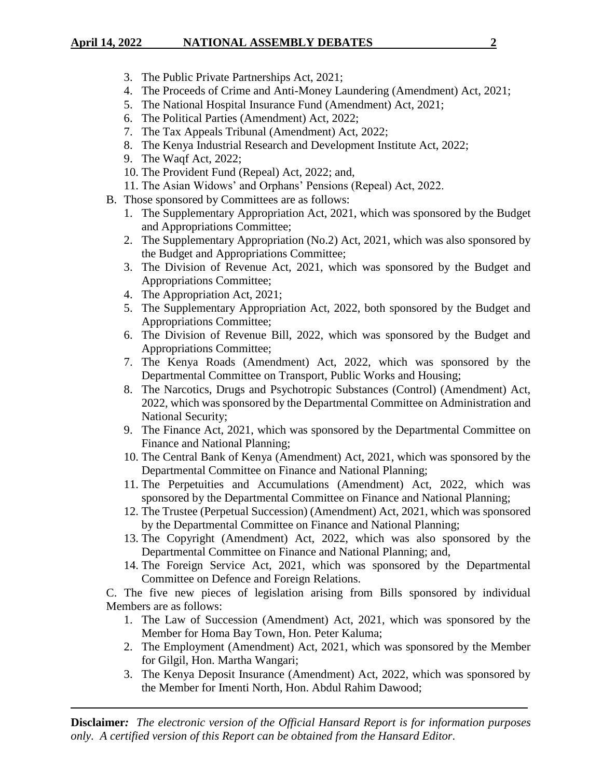# **April 14, 2022 NATIONAL ASSEMBLY DEBATES 2**

- 3. The Public Private Partnerships Act, 2021;
- 4. The Proceeds of Crime and Anti-Money Laundering (Amendment) Act, 2021;
- 5. The National Hospital Insurance Fund (Amendment) Act, 2021;
- 6. The Political Parties (Amendment) Act, 2022;
- 7. The Tax Appeals Tribunal (Amendment) Act, 2022;
- 8. The Kenya Industrial Research and Development Institute Act, 2022;
- 9. The Waqf Act, 2022;
- 10. The Provident Fund (Repeal) Act, 2022; and,
- 11. The Asian Widows' and Orphans' Pensions (Repeal) Act, 2022.
- B. Those sponsored by Committees are as follows:
	- 1. The Supplementary Appropriation Act, 2021, which was sponsored by the Budget and Appropriations Committee;
	- 2. The Supplementary Appropriation (No.2) Act, 2021, which was also sponsored by the Budget and Appropriations Committee;
	- 3. The Division of Revenue Act, 2021, which was sponsored by the Budget and Appropriations Committee;
	- 4. The Appropriation Act, 2021;
	- 5. The Supplementary Appropriation Act, 2022, both sponsored by the Budget and Appropriations Committee;
	- 6. The Division of Revenue Bill, 2022, which was sponsored by the Budget and Appropriations Committee;
	- 7. The Kenya Roads (Amendment) Act, 2022, which was sponsored by the Departmental Committee on Transport, Public Works and Housing;
	- 8. The Narcotics, Drugs and Psychotropic Substances (Control) (Amendment) Act, 2022, which was sponsored by the Departmental Committee on Administration and National Security;
	- 9. The Finance Act, 2021, which was sponsored by the Departmental Committee on Finance and National Planning;
	- 10. The Central Bank of Kenya (Amendment) Act, 2021, which was sponsored by the Departmental Committee on Finance and National Planning;
	- 11. The Perpetuities and Accumulations (Amendment) Act, 2022, which was sponsored by the Departmental Committee on Finance and National Planning;
	- 12. The Trustee (Perpetual Succession) (Amendment) Act, 2021, which was sponsored by the Departmental Committee on Finance and National Planning;
	- 13. The Copyright (Amendment) Act, 2022, which was also sponsored by the Departmental Committee on Finance and National Planning; and,
	- 14. The Foreign Service Act, 2021, which was sponsored by the Departmental Committee on Defence and Foreign Relations.

C. The five new pieces of legislation arising from Bills sponsored by individual Members are as follows:

- 1. The Law of Succession (Amendment) Act, 2021, which was sponsored by the Member for Homa Bay Town, Hon. Peter Kaluma;
- 2. The Employment (Amendment) Act, 2021, which was sponsored by the Member for Gilgil, Hon. Martha Wangari;
- 3. The Kenya Deposit Insurance (Amendment) Act, 2022, which was sponsored by the Member for Imenti North, Hon. Abdul Rahim Dawood;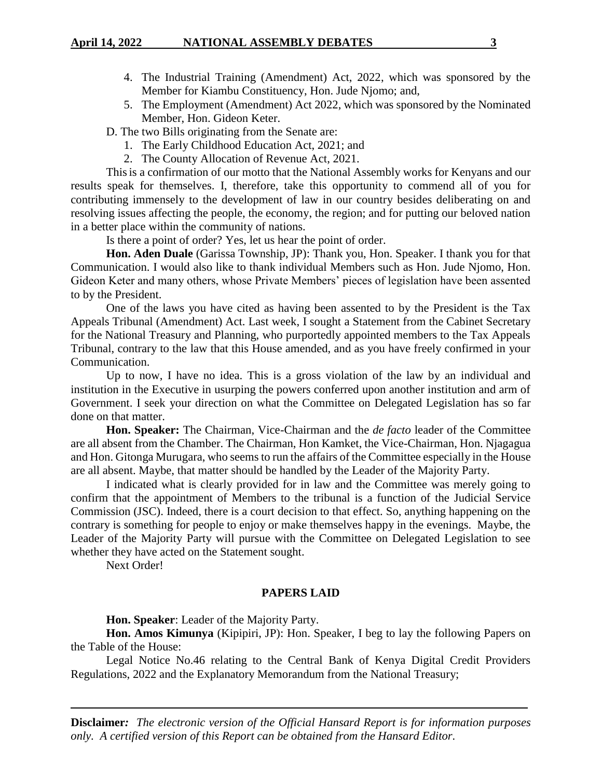- 4. The Industrial Training (Amendment) Act, 2022, which was sponsored by the Member for Kiambu Constituency, Hon. Jude Njomo; and,
- 5. The Employment (Amendment) Act 2022, which was sponsored by the Nominated Member, Hon. Gideon Keter.
- D. The two Bills originating from the Senate are:
	- 1. The Early Childhood Education Act, 2021; and
	- 2. The County Allocation of Revenue Act, 2021.

Thisis a confirmation of our motto that the National Assembly works for Kenyans and our results speak for themselves. I, therefore, take this opportunity to commend all of you for contributing immensely to the development of law in our country besides deliberating on and resolving issues affecting the people, the economy, the region; and for putting our beloved nation in a better place within the community of nations.

Is there a point of order? Yes, let us hear the point of order.

**Hon. Aden Duale** (Garissa Township, JP): Thank you, Hon. Speaker. I thank you for that Communication. I would also like to thank individual Members such as Hon. Jude Njomo, Hon. Gideon Keter and many others, whose Private Members' pieces of legislation have been assented to by the President.

One of the laws you have cited as having been assented to by the President is the Tax Appeals Tribunal (Amendment) Act. Last week, I sought a Statement from the Cabinet Secretary for the National Treasury and Planning, who purportedly appointed members to the Tax Appeals Tribunal, contrary to the law that this House amended, and as you have freely confirmed in your Communication.

Up to now, I have no idea. This is a gross violation of the law by an individual and institution in the Executive in usurping the powers conferred upon another institution and arm of Government. I seek your direction on what the Committee on Delegated Legislation has so far done on that matter.

**Hon. Speaker:** The Chairman, Vice-Chairman and the *de facto* leader of the Committee are all absent from the Chamber. The Chairman, Hon Kamket, the Vice-Chairman, Hon. Njagagua and Hon. Gitonga Murugara, who seems to run the affairs of the Committee especially in the House are all absent. Maybe, that matter should be handled by the Leader of the Majority Party.

I indicated what is clearly provided for in law and the Committee was merely going to confirm that the appointment of Members to the tribunal is a function of the Judicial Service Commission (JSC). Indeed, there is a court decision to that effect. So, anything happening on the contrary is something for people to enjoy or make themselves happy in the evenings. Maybe, the Leader of the Majority Party will pursue with the Committee on Delegated Legislation to see whether they have acted on the Statement sought.

Next Order!

#### **PAPERS LAID**

**Hon. Speaker**: Leader of the Majority Party.

**Hon. Amos Kimunya** (Kipipiri, JP): Hon. Speaker, I beg to lay the following Papers on the Table of the House:

Legal Notice No.46 relating to the Central Bank of Kenya Digital Credit Providers Regulations, 2022 and the Explanatory Memorandum from the National Treasury;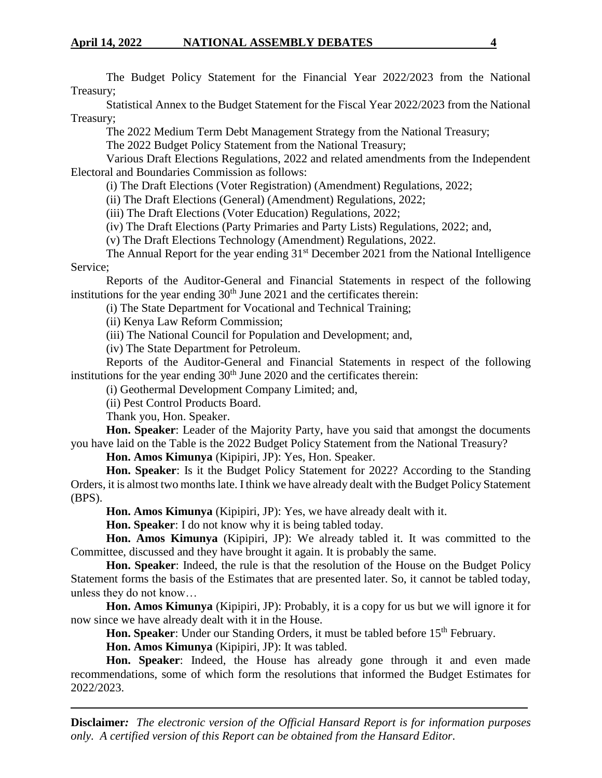The Budget Policy Statement for the Financial Year 2022/2023 from the National Treasury;

Statistical Annex to the Budget Statement for the Fiscal Year 2022/2023 from the National Treasury;

The 2022 Medium Term Debt Management Strategy from the National Treasury;

The 2022 Budget Policy Statement from the National Treasury;

Various Draft Elections Regulations, 2022 and related amendments from the Independent Electoral and Boundaries Commission as follows:

(i) The Draft Elections (Voter Registration) (Amendment) Regulations, 2022;

(ii) The Draft Elections (General) (Amendment) Regulations, 2022;

(iii) The Draft Elections (Voter Education) Regulations, 2022;

(iv) The Draft Elections (Party Primaries and Party Lists) Regulations, 2022; and,

(v) The Draft Elections Technology (Amendment) Regulations, 2022.

The Annual Report for the year ending  $31<sup>st</sup>$  December 2021 from the National Intelligence Service;

Reports of the Auditor-General and Financial Statements in respect of the following institutions for the year ending  $30<sup>th</sup>$  June 2021 and the certificates therein:

(i) The State Department for Vocational and Technical Training;

(ii) Kenya Law Reform Commission;

(iii) The National Council for Population and Development; and,

(iv) The State Department for Petroleum.

Reports of the Auditor-General and Financial Statements in respect of the following institutions for the year ending  $30<sup>th</sup>$  June 2020 and the certificates therein:

(i) Geothermal Development Company Limited; and,

(ii) Pest Control Products Board.

Thank you, Hon. Speaker.

**Hon. Speaker**: Leader of the Majority Party, have you said that amongst the documents you have laid on the Table is the 2022 Budget Policy Statement from the National Treasury?

**Hon. Amos Kimunya** (Kipipiri, JP): Yes, Hon. Speaker.

**Hon. Speaker**: Is it the Budget Policy Statement for 2022? According to the Standing Orders, it is almost two months late. I think we have already dealt with the Budget Policy Statement (BPS).

**Hon. Amos Kimunya** (Kipipiri, JP): Yes, we have already dealt with it.

**Hon. Speaker**: I do not know why it is being tabled today.

**Hon. Amos Kimunya** (Kipipiri, JP): We already tabled it. It was committed to the Committee, discussed and they have brought it again. It is probably the same.

**Hon. Speaker**: Indeed, the rule is that the resolution of the House on the Budget Policy Statement forms the basis of the Estimates that are presented later. So, it cannot be tabled today, unless they do not know…

**Hon. Amos Kimunya** (Kipipiri, JP): Probably, it is a copy for us but we will ignore it for now since we have already dealt with it in the House.

**Hon. Speaker**: Under our Standing Orders, it must be tabled before 15<sup>th</sup> February.

**Hon. Amos Kimunya** (Kipipiri, JP): It was tabled.

**Hon. Speaker**: Indeed, the House has already gone through it and even made recommendations, some of which form the resolutions that informed the Budget Estimates for 2022/2023.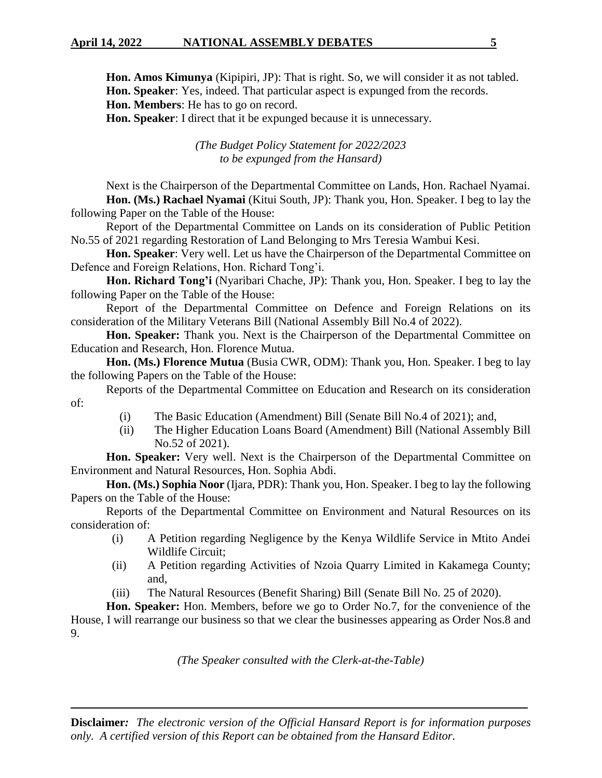**Hon. Amos Kimunya** (Kipipiri, JP): That is right. So, we will consider it as not tabled. **Hon. Speaker**: Yes, indeed. That particular aspect is expunged from the records.

**Hon. Members**: He has to go on record.

**Hon. Speaker**: I direct that it be expunged because it is unnecessary.

*(The Budget Policy Statement for 2022/2023 to be expunged from the Hansard)*

Next is the Chairperson of the Departmental Committee on Lands, Hon. Rachael Nyamai. **Hon. (Ms.) Rachael Nyamai** (Kitui South, JP): Thank you, Hon. Speaker. I beg to lay the following Paper on the Table of the House:

Report of the Departmental Committee on Lands on its consideration of Public Petition No.55 of 2021 regarding Restoration of Land Belonging to Mrs Teresia Wambui Kesi.

**Hon. Speaker**: Very well. Let us have the Chairperson of the Departmental Committee on Defence and Foreign Relations, Hon. Richard Tong'i.

**Hon. Richard Tong'i** (Nyaribari Chache, JP): Thank you, Hon. Speaker. I beg to lay the following Paper on the Table of the House:

Report of the Departmental Committee on Defence and Foreign Relations on its consideration of the Military Veterans Bill (National Assembly Bill No.4 of 2022).

**Hon. Speaker:** Thank you. Next is the Chairperson of the Departmental Committee on Education and Research, Hon. Florence Mutua.

**Hon. (Ms.) Florence Mutua** (Busia CWR, ODM): Thank you, Hon. Speaker. I beg to lay the following Papers on the Table of the House:

Reports of the Departmental Committee on Education and Research on its consideration of:

- (i) The Basic Education (Amendment) Bill (Senate Bill No.4 of 2021); and,
- (ii) The Higher Education Loans Board (Amendment) Bill (National Assembly Bill No.52 of 2021).

**Hon. Speaker:** Very well. Next is the Chairperson of the Departmental Committee on Environment and Natural Resources, Hon. Sophia Abdi.

**Hon. (Ms.) Sophia Noor** (Ijara, PDR): Thank you, Hon. Speaker. I beg to lay the following Papers on the Table of the House:

Reports of the Departmental Committee on Environment and Natural Resources on its consideration of:

- (i) A Petition regarding Negligence by the Kenya Wildlife Service in Mtito Andei Wildlife Circuit;
- (ii) A Petition regarding Activities of Nzoia Quarry Limited in Kakamega County; and,
- (iii) The Natural Resources (Benefit Sharing) Bill (Senate Bill No. 25 of 2020).

**Hon. Speaker:** Hon. Members, before we go to Order No.7, for the convenience of the House, I will rearrange our business so that we clear the businesses appearing as Order Nos.8 and 9.

*(The Speaker consulted with the Clerk-at-the-Table)*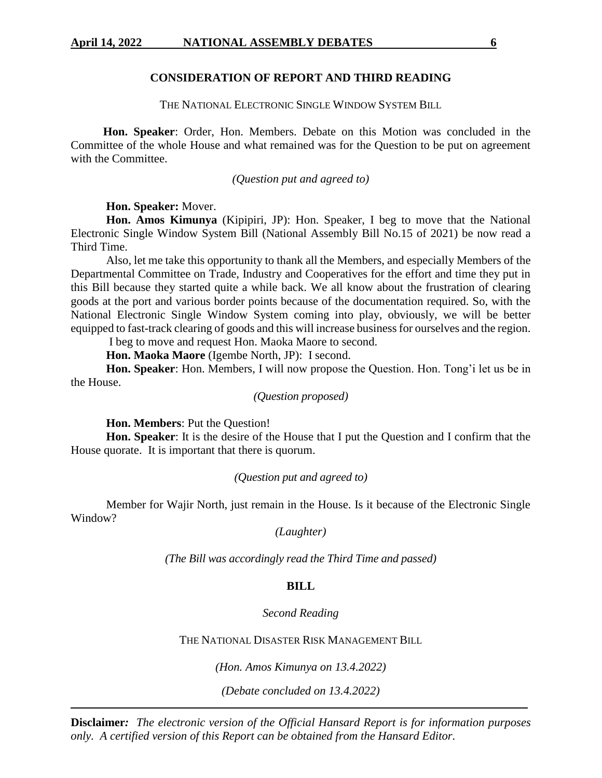### **CONSIDERATION OF REPORT AND THIRD READING**

THE NATIONAL ELECTRONIC SINGLE WINDOW SYSTEM BILL

 **Hon. Speaker**: Order, Hon. Members. Debate on this Motion was concluded in the Committee of the whole House and what remained was for the Question to be put on agreement with the Committee.

*(Question put and agreed to)*

**Hon. Speaker:** Mover.

**Hon. Amos Kimunya** (Kipipiri, JP): Hon. Speaker, I beg to move that the National Electronic Single Window System Bill (National Assembly Bill No.15 of 2021) be now read a Third Time.

Also, let me take this opportunity to thank all the Members, and especially Members of the Departmental Committee on Trade, Industry and Cooperatives for the effort and time they put in this Bill because they started quite a while back. We all know about the frustration of clearing goods at the port and various border points because of the documentation required. So, with the National Electronic Single Window System coming into play, obviously, we will be better equipped to fast-track clearing of goods and this will increase business for ourselves and the region.

I beg to move and request Hon. Maoka Maore to second.

**Hon. Maoka Maore** (Igembe North, JP): I second.

**Hon. Speaker**: Hon. Members, I will now propose the Question. Hon. Tong'i let us be in the House.

*(Question proposed)*

**Hon. Members**: Put the Question!

**Hon. Speaker**: It is the desire of the House that I put the Question and I confirm that the House quorate. It is important that there is quorum.

### *(Question put and agreed to)*

Member for Wajir North, just remain in the House. Is it because of the Electronic Single Window?

*(Laughter)*

*(The Bill was accordingly read the Third Time and passed)*

#### **BILL**

#### *Second Reading*

THE NATIONAL DISASTER RISK MANAGEMENT BILL

*(Hon. Amos Kimunya on 13.4.2022)*

*(Debate concluded on 13.4.2022)*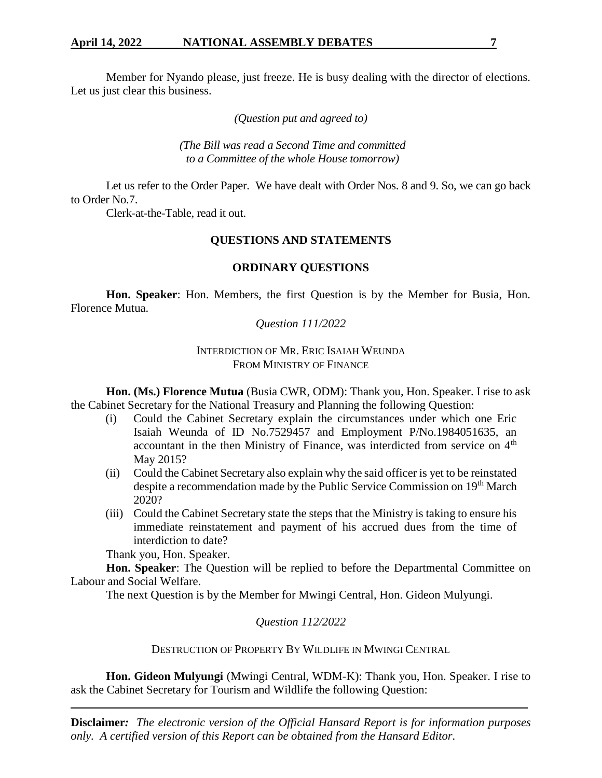Member for Nyando please, just freeze. He is busy dealing with the director of elections. Let us just clear this business.

*(Question put and agreed to)*

*(The Bill was read a Second Time and committed to a Committee of the whole House tomorrow)*

Let us refer to the Order Paper. We have dealt with Order Nos. 8 and 9. So, we can go back to Order No.7.

Clerk-at-the-Table, read it out.

# **QUESTIONS AND STATEMENTS**

# **ORDINARY QUESTIONS**

**Hon. Speaker**: Hon. Members, the first Question is by the Member for Busia, Hon. Florence Mutua.

*Question 111/2022*

# INTERDICTION OF MR. ERIC ISAIAH WEUNDA FROM MINISTRY OF FINANCE

**Hon. (Ms.) Florence Mutua** (Busia CWR, ODM): Thank you, Hon. Speaker. I rise to ask the Cabinet Secretary for the National Treasury and Planning the following Question:

- (i) Could the Cabinet Secretary explain the circumstances under which one Eric Isaiah Weunda of ID No.7529457 and Employment P/No.1984051635, an accountant in the then Ministry of Finance, was interdicted from service on  $4<sup>th</sup>$ May 2015?
- (ii) Could the Cabinet Secretary also explain why the said officer is yet to be reinstated despite a recommendation made by the Public Service Commission on 19th March 2020?
- (iii) Could the Cabinet Secretary state the steps that the Ministry is taking to ensure his immediate reinstatement and payment of his accrued dues from the time of interdiction to date?

Thank you, Hon. Speaker.

**Hon. Speaker**: The Question will be replied to before the Departmental Committee on Labour and Social Welfare.

The next Question is by the Member for Mwingi Central, Hon. Gideon Mulyungi.

# *Question 112/2022*

DESTRUCTION OF PROPERTY BY WILDLIFE IN MWINGI CENTRAL

**Hon. Gideon Mulyungi** (Mwingi Central, WDM-K): Thank you, Hon. Speaker. I rise to ask the Cabinet Secretary for Tourism and Wildlife the following Question: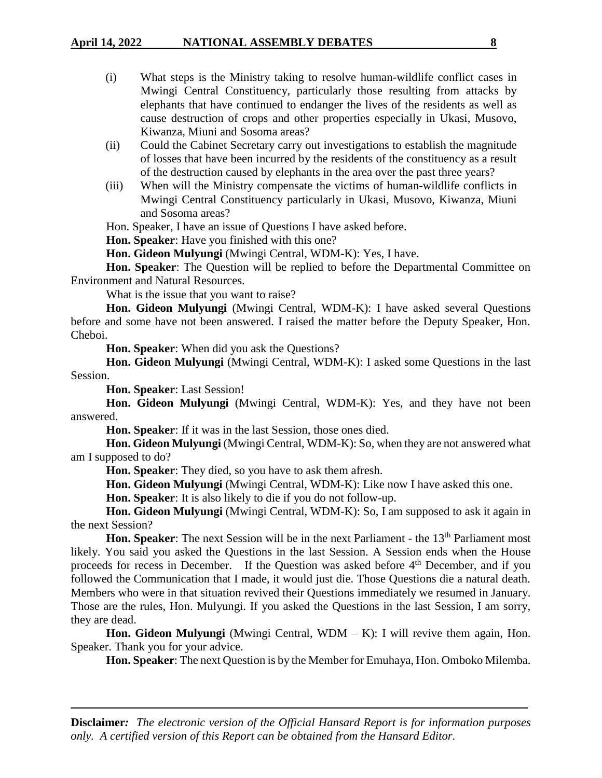- (i) What steps is the Ministry taking to resolve human-wildlife conflict cases in Mwingi Central Constituency, particularly those resulting from attacks by elephants that have continued to endanger the lives of the residents as well as cause destruction of crops and other properties especially in Ukasi, Musovo, Kiwanza, Miuni and Sosoma areas?
- (ii) Could the Cabinet Secretary carry out investigations to establish the magnitude of losses that have been incurred by the residents of the constituency as a result of the destruction caused by elephants in the area over the past three years?
- (iii) When will the Ministry compensate the victims of human-wildlife conflicts in Mwingi Central Constituency particularly in Ukasi, Musovo, Kiwanza, Miuni and Sosoma areas?

Hon. Speaker, I have an issue of Questions I have asked before.

**Hon. Speaker**: Have you finished with this one?

**Hon. Gideon Mulyungi** (Mwingi Central, WDM-K): Yes, I have.

**Hon. Speaker**: The Question will be replied to before the Departmental Committee on Environment and Natural Resources.

What is the issue that you want to raise?

**Hon. Gideon Mulyungi** (Mwingi Central, WDM-K): I have asked several Questions before and some have not been answered. I raised the matter before the Deputy Speaker, Hon. Cheboi.

**Hon. Speaker**: When did you ask the Questions?

**Hon. Gideon Mulyungi** (Mwingi Central, WDM-K): I asked some Questions in the last Session.

**Hon. Speaker**: Last Session!

**Hon. Gideon Mulyungi** (Mwingi Central, WDM-K): Yes, and they have not been answered.

**Hon. Speaker**: If it was in the last Session, those ones died.

**Hon. Gideon Mulyungi** (Mwingi Central, WDM-K): So, when they are not answered what am I supposed to do?

**Hon. Speaker**: They died, so you have to ask them afresh.

**Hon. Gideon Mulyungi** (Mwingi Central, WDM-K): Like now I have asked this one.

**Hon. Speaker**: It is also likely to die if you do not follow-up.

**Hon. Gideon Mulyungi** (Mwingi Central, WDM-K): So, I am supposed to ask it again in the next Session?

**Hon. Speaker:** The next Session will be in the next Parliament - the 13<sup>th</sup> Parliament most likely. You said you asked the Questions in the last Session. A Session ends when the House proceeds for recess in December. If the Question was asked before 4th December, and if you followed the Communication that I made, it would just die. Those Questions die a natural death. Members who were in that situation revived their Questions immediately we resumed in January. Those are the rules, Hon. Mulyungi. If you asked the Questions in the last Session, I am sorry, they are dead.

**Hon. Gideon Mulyungi** (Mwingi Central, WDM – K): I will revive them again, Hon. Speaker. Thank you for your advice.

**Hon. Speaker**: The next Question is by the Member for Emuhaya, Hon. Omboko Milemba.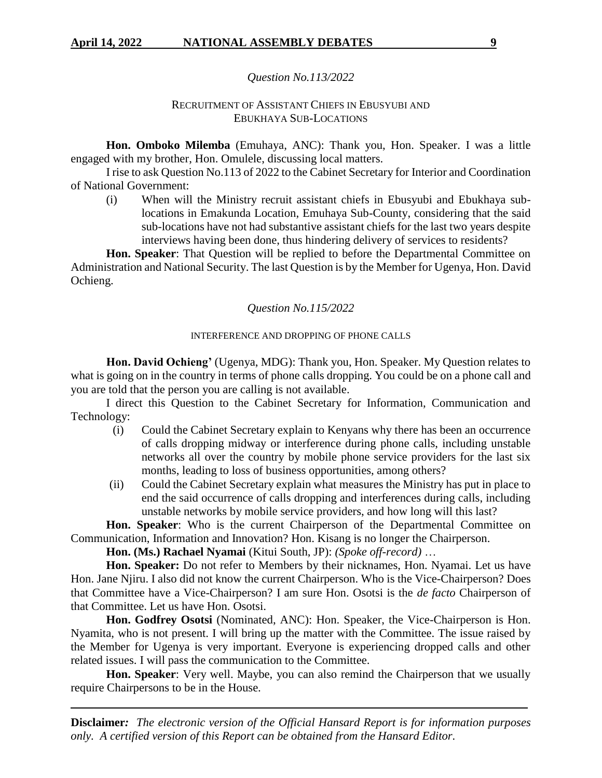#### *Question No.113/2022*

# RECRUITMENT OF ASSISTANT CHIEFS IN EBUSYUBI AND EBUKHAYA SUB-LOCATIONS

**Hon. Omboko Milemba** (Emuhaya, ANC): Thank you, Hon. Speaker. I was a little engaged with my brother, Hon. Omulele, discussing local matters.

I rise to ask Question No.113 of 2022 to the Cabinet Secretary for Interior and Coordination of National Government:

(i) When will the Ministry recruit assistant chiefs in Ebusyubi and Ebukhaya sublocations in Emakunda Location, Emuhaya Sub-County, considering that the said sub-locations have not had substantive assistant chiefs for the last two years despite interviews having been done, thus hindering delivery of services to residents?

**Hon. Speaker**: That Question will be replied to before the Departmental Committee on Administration and National Security. The last Question is by the Member for Ugenya, Hon. David Ochieng.

### *Question No.115/2022*

### INTERFERENCE AND DROPPING OF PHONE CALLS

**Hon. David Ochieng'** (Ugenya, MDG): Thank you, Hon. Speaker. My Question relates to what is going on in the country in terms of phone calls dropping. You could be on a phone call and you are told that the person you are calling is not available.

I direct this Question to the Cabinet Secretary for Information, Communication and Technology:

- (i) Could the Cabinet Secretary explain to Kenyans why there has been an occurrence of calls dropping midway or interference during phone calls, including unstable networks all over the country by mobile phone service providers for the last six months, leading to loss of business opportunities, among others?
- (ii) Could the Cabinet Secretary explain what measures the Ministry has put in place to end the said occurrence of calls dropping and interferences during calls, including unstable networks by mobile service providers, and how long will this last?

**Hon. Speaker**: Who is the current Chairperson of the Departmental Committee on Communication, Information and Innovation? Hon. Kisang is no longer the Chairperson.

**Hon. (Ms.) Rachael Nyamai** (Kitui South, JP): *(Spoke off-record)* …

**Hon. Speaker:** Do not refer to Members by their nicknames, Hon. Nyamai. Let us have Hon. Jane Njiru. I also did not know the current Chairperson. Who is the Vice-Chairperson? Does that Committee have a Vice-Chairperson? I am sure Hon. Osotsi is the *de facto* Chairperson of that Committee. Let us have Hon. Osotsi.

**Hon. Godfrey Osotsi** (Nominated, ANC): Hon. Speaker, the Vice-Chairperson is Hon. Nyamita, who is not present. I will bring up the matter with the Committee. The issue raised by the Member for Ugenya is very important. Everyone is experiencing dropped calls and other related issues. I will pass the communication to the Committee.

**Hon. Speaker**: Very well. Maybe, you can also remind the Chairperson that we usually require Chairpersons to be in the House.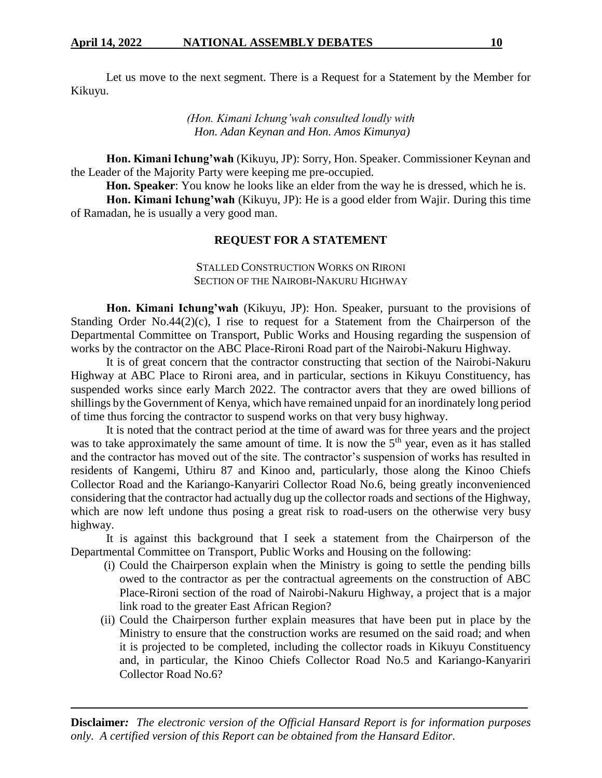Let us move to the next segment. There is a Request for a Statement by the Member for Kikuyu.

> *(Hon. Kimani Ichung'wah consulted loudly with Hon. Adan Keynan and Hon. Amos Kimunya)*

**Hon. Kimani Ichung'wah** (Kikuyu, JP): Sorry, Hon. Speaker. Commissioner Keynan and the Leader of the Majority Party were keeping me pre-occupied.

**Hon. Speaker**: You know he looks like an elder from the way he is dressed, which he is.

**Hon. Kimani Ichung'wah** (Kikuyu, JP): He is a good elder from Wajir. During this time of Ramadan, he is usually a very good man.

## **REQUEST FOR A STATEMENT**

### STALLED CONSTRUCTION WORKS ON RIRONI SECTION OF THE NAIROBI-NAKURU HIGHWAY

**Hon. Kimani Ichung'wah** (Kikuyu, JP): Hon. Speaker, pursuant to the provisions of Standing Order No.44(2)(c), I rise to request for a Statement from the Chairperson of the Departmental Committee on Transport, Public Works and Housing regarding the suspension of works by the contractor on the ABC Place-Rironi Road part of the Nairobi-Nakuru Highway.

It is of great concern that the contractor constructing that section of the Nairobi-Nakuru Highway at ABC Place to Rironi area, and in particular, sections in Kikuyu Constituency, has suspended works since early March 2022. The contractor avers that they are owed billions of shillings by the Government of Kenya, which have remained unpaid for an inordinately long period of time thus forcing the contractor to suspend works on that very busy highway.

It is noted that the contract period at the time of award was for three years and the project was to take approximately the same amount of time. It is now the  $5<sup>th</sup>$  year, even as it has stalled and the contractor has moved out of the site. The contractor's suspension of works has resulted in residents of Kangemi, Uthiru 87 and Kinoo and, particularly, those along the Kinoo Chiefs Collector Road and the Kariango-Kanyariri Collector Road No.6, being greatly inconvenienced considering that the contractor had actually dug up the collector roads and sections of the Highway, which are now left undone thus posing a great risk to road-users on the otherwise very busy highway.

It is against this background that I seek a statement from the Chairperson of the Departmental Committee on Transport, Public Works and Housing on the following:

- (i) Could the Chairperson explain when the Ministry is going to settle the pending bills owed to the contractor as per the contractual agreements on the construction of ABC Place-Rironi section of the road of Nairobi-Nakuru Highway, a project that is a major link road to the greater East African Region?
- (ii) Could the Chairperson further explain measures that have been put in place by the Ministry to ensure that the construction works are resumed on the said road; and when it is projected to be completed, including the collector roads in Kikuyu Constituency and, in particular, the Kinoo Chiefs Collector Road No.5 and Kariango-Kanyariri Collector Road No.6?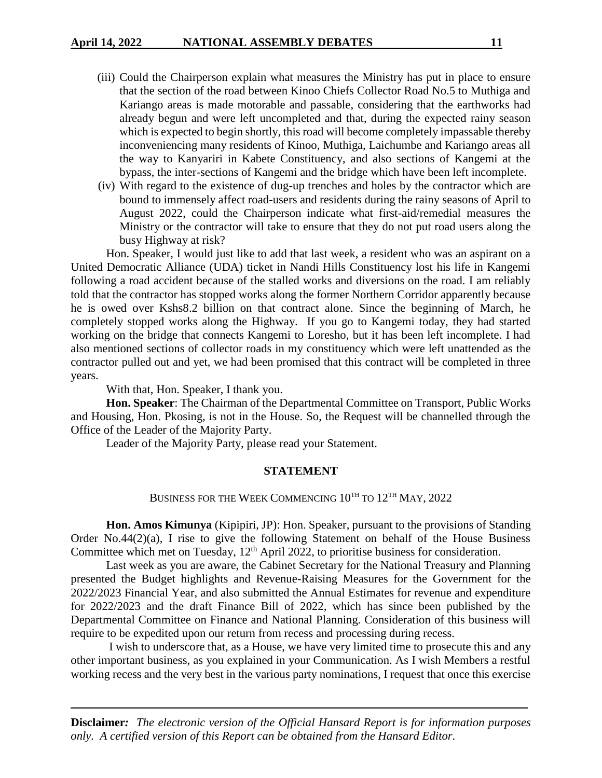- (iii) Could the Chairperson explain what measures the Ministry has put in place to ensure that the section of the road between Kinoo Chiefs Collector Road No.5 to Muthiga and Kariango areas is made motorable and passable, considering that the earthworks had already begun and were left uncompleted and that, during the expected rainy season which is expected to begin shortly, this road will become completely impassable thereby inconveniencing many residents of Kinoo, Muthiga, Laichumbe and Kariango areas all the way to Kanyariri in Kabete Constituency, and also sections of Kangemi at the bypass, the inter-sections of Kangemi and the bridge which have been left incomplete.
- (iv) With regard to the existence of dug-up trenches and holes by the contractor which are bound to immensely affect road-users and residents during the rainy seasons of April to August 2022, could the Chairperson indicate what first-aid/remedial measures the Ministry or the contractor will take to ensure that they do not put road users along the busy Highway at risk?

Hon. Speaker, I would just like to add that last week, a resident who was an aspirant on a United Democratic Alliance (UDA) ticket in Nandi Hills Constituency lost his life in Kangemi following a road accident because of the stalled works and diversions on the road. I am reliably told that the contractor has stopped works along the former Northern Corridor apparently because he is owed over Kshs8.2 billion on that contract alone. Since the beginning of March, he completely stopped works along the Highway. If you go to Kangemi today, they had started working on the bridge that connects Kangemi to Loresho, but it has been left incomplete. I had also mentioned sections of collector roads in my constituency which were left unattended as the contractor pulled out and yet, we had been promised that this contract will be completed in three years.

With that, Hon. Speaker, I thank you.

**Hon. Speaker**: The Chairman of the Departmental Committee on Transport, Public Works and Housing, Hon. Pkosing, is not in the House. So, the Request will be channelled through the Office of the Leader of the Majority Party.

Leader of the Majority Party, please read your Statement.

#### **STATEMENT**

# BUSINESS FOR THE WEEK COMMENCING  $10^{TH}$  TO  $12^{TH}$  MAY,  $2022$

**Hon. Amos Kimunya** (Kipipiri, JP): Hon. Speaker, pursuant to the provisions of Standing Order No.44(2)(a), I rise to give the following Statement on behalf of the House Business Committee which met on Tuesday, 12<sup>th</sup> April 2022, to prioritise business for consideration.

Last week as you are aware, the Cabinet Secretary for the National Treasury and Planning presented the Budget highlights and Revenue-Raising Measures for the Government for the 2022/2023 Financial Year, and also submitted the Annual Estimates for revenue and expenditure for 2022/2023 and the draft Finance Bill of 2022, which has since been published by the Departmental Committee on Finance and National Planning. Consideration of this business will require to be expedited upon our return from recess and processing during recess.

I wish to underscore that, as a House, we have very limited time to prosecute this and any other important business, as you explained in your Communication. As I wish Members a restful working recess and the very best in the various party nominations, I request that once this exercise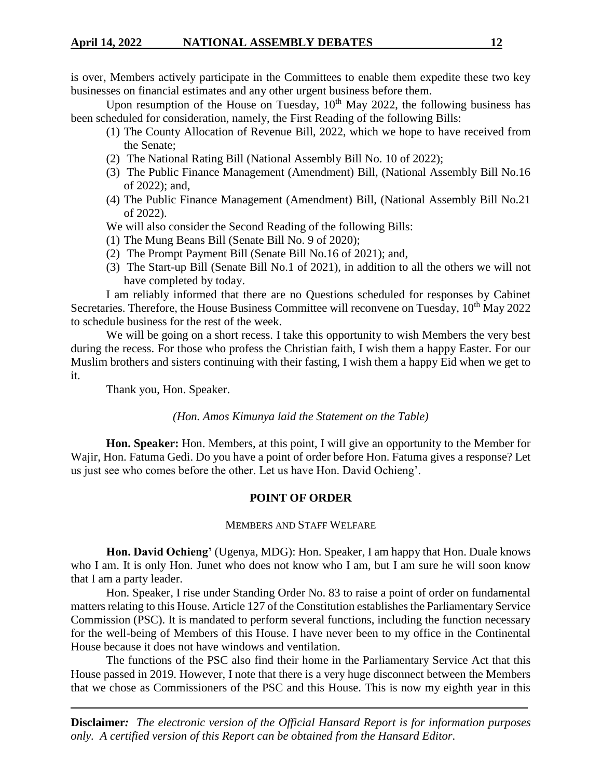is over, Members actively participate in the Committees to enable them expedite these two key businesses on financial estimates and any other urgent business before them.

Upon resumption of the House on Tuesday,  $10<sup>th</sup>$  May 2022, the following business has been scheduled for consideration, namely, the First Reading of the following Bills:

- (1) The County Allocation of Revenue Bill, 2022, which we hope to have received from the Senate;
- (2) The National Rating Bill (National Assembly Bill No. 10 of 2022);
- (3) The Public Finance Management (Amendment) Bill, (National Assembly Bill No.16 of 2022); and,
- (4) The Public Finance Management (Amendment) Bill, (National Assembly Bill No.21 of 2022).
- We will also consider the Second Reading of the following Bills:
- (1) The Mung Beans Bill (Senate Bill No. 9 of 2020);
- (2) The Prompt Payment Bill (Senate Bill No.16 of 2021); and,
- (3) The Start-up Bill (Senate Bill No.1 of 2021), in addition to all the others we will not have completed by today.

I am reliably informed that there are no Questions scheduled for responses by Cabinet Secretaries. Therefore, the House Business Committee will reconvene on Tuesday,  $10<sup>th</sup>$  May 2022 to schedule business for the rest of the week.

We will be going on a short recess. I take this opportunity to wish Members the very best during the recess. For those who profess the Christian faith, I wish them a happy Easter. For our Muslim brothers and sisters continuing with their fasting, I wish them a happy Eid when we get to it.

Thank you, Hon. Speaker.

## *(Hon. Amos Kimunya laid the Statement on the Table)*

**Hon. Speaker:** Hon. Members, at this point, I will give an opportunity to the Member for Wajir, Hon. Fatuma Gedi. Do you have a point of order before Hon. Fatuma gives a response? Let us just see who comes before the other. Let us have Hon. David Ochieng'.

# **POINT OF ORDER**

## MEMBERS AND STAFF WELFARE

**Hon. David Ochieng'** (Ugenya, MDG): Hon. Speaker, I am happy that Hon. Duale knows who I am. It is only Hon. Junet who does not know who I am, but I am sure he will soon know that I am a party leader.

Hon. Speaker, I rise under Standing Order No. 83 to raise a point of order on fundamental matters relating to this House. Article 127 of the Constitution establishes the Parliamentary Service Commission (PSC). It is mandated to perform several functions, including the function necessary for the well-being of Members of this House. I have never been to my office in the Continental House because it does not have windows and ventilation.

The functions of the PSC also find their home in the Parliamentary Service Act that this House passed in 2019. However, I note that there is a very huge disconnect between the Members that we chose as Commissioners of the PSC and this House. This is now my eighth year in this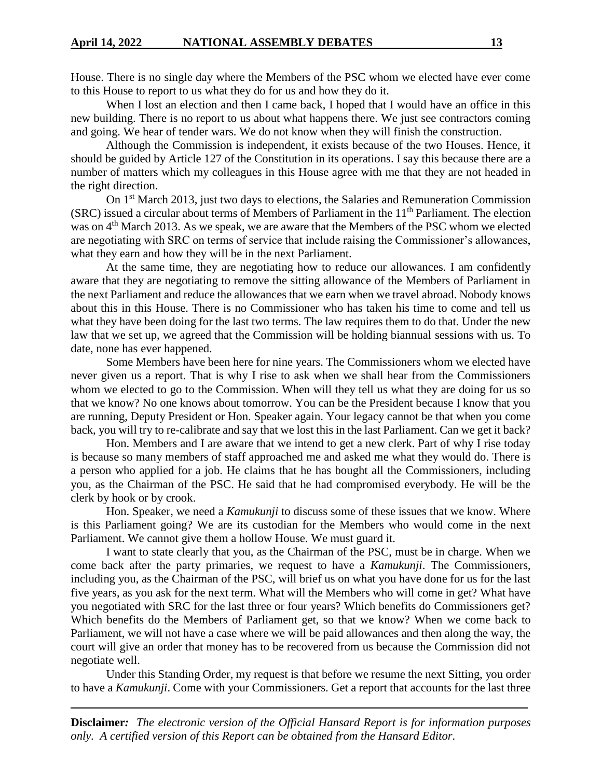House. There is no single day where the Members of the PSC whom we elected have ever come to this House to report to us what they do for us and how they do it.

When I lost an election and then I came back, I hoped that I would have an office in this new building. There is no report to us about what happens there. We just see contractors coming and going. We hear of tender wars. We do not know when they will finish the construction.

Although the Commission is independent, it exists because of the two Houses. Hence, it should be guided by Article 127 of the Constitution in its operations. I say this because there are a number of matters which my colleagues in this House agree with me that they are not headed in the right direction.

On 1<sup>st</sup> March 2013, just two days to elections, the Salaries and Remuneration Commission (SRC) issued a circular about terms of Members of Parliament in the  $11<sup>th</sup>$  Parliament. The election was on 4<sup>th</sup> March 2013. As we speak, we are aware that the Members of the PSC whom we elected are negotiating with SRC on terms of service that include raising the Commissioner's allowances, what they earn and how they will be in the next Parliament.

At the same time, they are negotiating how to reduce our allowances. I am confidently aware that they are negotiating to remove the sitting allowance of the Members of Parliament in the next Parliament and reduce the allowances that we earn when we travel abroad. Nobody knows about this in this House. There is no Commissioner who has taken his time to come and tell us what they have been doing for the last two terms. The law requires them to do that. Under the new law that we set up, we agreed that the Commission will be holding biannual sessions with us. To date, none has ever happened.

Some Members have been here for nine years. The Commissioners whom we elected have never given us a report. That is why I rise to ask when we shall hear from the Commissioners whom we elected to go to the Commission. When will they tell us what they are doing for us so that we know? No one knows about tomorrow. You can be the President because I know that you are running, Deputy President or Hon. Speaker again. Your legacy cannot be that when you come back, you will try to re-calibrate and say that we lost this in the last Parliament. Can we get it back?

Hon. Members and I are aware that we intend to get a new clerk. Part of why I rise today is because so many members of staff approached me and asked me what they would do. There is a person who applied for a job. He claims that he has bought all the Commissioners, including you, as the Chairman of the PSC. He said that he had compromised everybody. He will be the clerk by hook or by crook.

Hon. Speaker, we need a *Kamukunji* to discuss some of these issues that we know. Where is this Parliament going? We are its custodian for the Members who would come in the next Parliament. We cannot give them a hollow House. We must guard it.

I want to state clearly that you, as the Chairman of the PSC, must be in charge. When we come back after the party primaries, we request to have a *Kamukunji*. The Commissioners, including you, as the Chairman of the PSC, will brief us on what you have done for us for the last five years, as you ask for the next term. What will the Members who will come in get? What have you negotiated with SRC for the last three or four years? Which benefits do Commissioners get? Which benefits do the Members of Parliament get, so that we know? When we come back to Parliament, we will not have a case where we will be paid allowances and then along the way, the court will give an order that money has to be recovered from us because the Commission did not negotiate well.

Under this Standing Order, my request is that before we resume the next Sitting, you order to have a *Kamukunji*. Come with your Commissioners. Get a report that accounts for the last three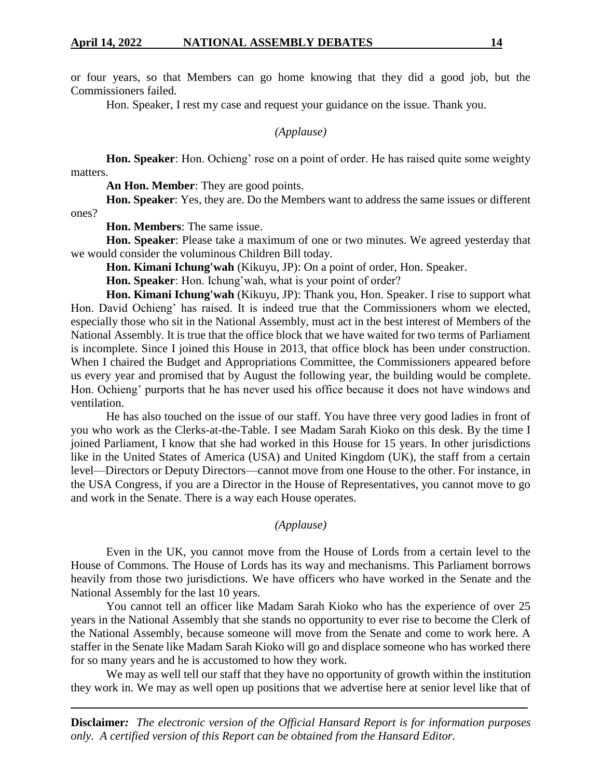or four years, so that Members can go home knowing that they did a good job, but the Commissioners failed.

Hon. Speaker, I rest my case and request your guidance on the issue. Thank you.

*(Applause)*

**Hon. Speaker**: Hon. Ochieng' rose on a point of order. He has raised quite some weighty matters.

**An Hon. Member**: They are good points.

**Hon. Speaker**: Yes, they are. Do the Members want to address the same issues or different ones?

**Hon. Members**: The same issue.

**Hon. Speaker**: Please take a maximum of one or two minutes. We agreed yesterday that we would consider the voluminous Children Bill today.

**Hon. Kimani Ichung'wah** (Kikuyu, JP): On a point of order, Hon. Speaker.

**Hon. Speaker**: Hon. Ichung'wah, what is your point of order?

**Hon. Kimani Ichung'wah** (Kikuyu, JP): Thank you, Hon. Speaker. I rise to support what Hon. David Ochieng' has raised. It is indeed true that the Commissioners whom we elected, especially those who sit in the National Assembly, must act in the best interest of Members of the National Assembly. It is true that the office block that we have waited for two terms of Parliament is incomplete. Since I joined this House in 2013, that office block has been under construction. When I chaired the Budget and Appropriations Committee, the Commissioners appeared before us every year and promised that by August the following year, the building would be complete. Hon. Ochieng' purports that he has never used his office because it does not have windows and ventilation.

He has also touched on the issue of our staff. You have three very good ladies in front of you who work as the Clerks-at-the-Table. I see Madam Sarah Kioko on this desk. By the time I joined Parliament, I know that she had worked in this House for 15 years. In other jurisdictions like in the United States of America (USA) and United Kingdom (UK), the staff from a certain level—Directors or Deputy Directors—cannot move from one House to the other. For instance, in the USA Congress, if you are a Director in the House of Representatives, you cannot move to go and work in the Senate. There is a way each House operates.

#### *(Applause)*

Even in the UK, you cannot move from the House of Lords from a certain level to the House of Commons. The House of Lords has its way and mechanisms. This Parliament borrows heavily from those two jurisdictions. We have officers who have worked in the Senate and the National Assembly for the last 10 years.

You cannot tell an officer like Madam Sarah Kioko who has the experience of over 25 years in the National Assembly that she stands no opportunity to ever rise to become the Clerk of the National Assembly, because someone will move from the Senate and come to work here. A staffer in the Senate like Madam Sarah Kioko will go and displace someone who has worked there for so many years and he is accustomed to how they work.

We may as well tell our staff that they have no opportunity of growth within the institution they work in. We may as well open up positions that we advertise here at senior level like that of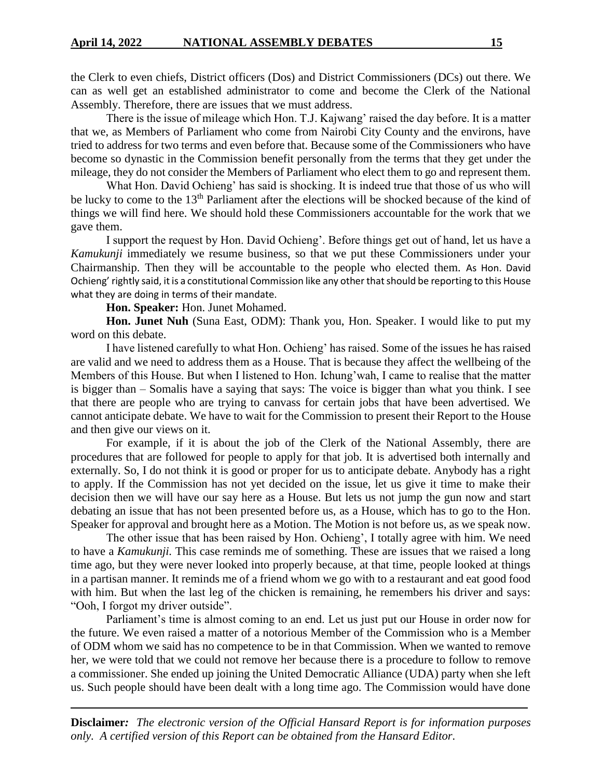the Clerk to even chiefs, District officers (Dos) and District Commissioners (DCs) out there. We can as well get an established administrator to come and become the Clerk of the National Assembly. Therefore, there are issues that we must address.

There is the issue of mileage which Hon. T.J. Kajwang' raised the day before. It is a matter that we, as Members of Parliament who come from Nairobi City County and the environs, have tried to address for two terms and even before that. Because some of the Commissioners who have become so dynastic in the Commission benefit personally from the terms that they get under the mileage, they do not consider the Members of Parliament who elect them to go and represent them.

What Hon. David Ochieng' has said is shocking. It is indeed true that those of us who will be lucky to come to the 13<sup>th</sup> Parliament after the elections will be shocked because of the kind of things we will find here. We should hold these Commissioners accountable for the work that we gave them.

I support the request by Hon. David Ochieng'. Before things get out of hand, let us have a *Kamukunji* immediately we resume business, so that we put these Commissioners under your Chairmanship. Then they will be accountable to the people who elected them. As Hon. David Ochieng' rightly said, it is a constitutional Commission like any other that should be reporting to this House what they are doing in terms of their mandate.

**Hon. Speaker:** Hon. Junet Mohamed.

**Hon. Junet Nuh** (Suna East, ODM): Thank you, Hon. Speaker. I would like to put my word on this debate.

I have listened carefully to what Hon. Ochieng' has raised. Some of the issues he has raised are valid and we need to address them as a House. That is because they affect the wellbeing of the Members of this House. But when I listened to Hon. Ichung'wah, I came to realise that the matter is bigger than – Somalis have a saying that says: The voice is bigger than what you think. I see that there are people who are trying to canvass for certain jobs that have been advertised. We cannot anticipate debate. We have to wait for the Commission to present their Report to the House and then give our views on it.

For example, if it is about the job of the Clerk of the National Assembly, there are procedures that are followed for people to apply for that job. It is advertised both internally and externally. So, I do not think it is good or proper for us to anticipate debate. Anybody has a right to apply. If the Commission has not yet decided on the issue, let us give it time to make their decision then we will have our say here as a House. But lets us not jump the gun now and start debating an issue that has not been presented before us, as a House, which has to go to the Hon. Speaker for approval and brought here as a Motion. The Motion is not before us, as we speak now.

The other issue that has been raised by Hon. Ochieng', I totally agree with him. We need to have a *Kamukunji.* This case reminds me of something. These are issues that we raised a long time ago, but they were never looked into properly because, at that time, people looked at things in a partisan manner. It reminds me of a friend whom we go with to a restaurant and eat good food with him. But when the last leg of the chicken is remaining, he remembers his driver and says: "Ooh, I forgot my driver outside".

Parliament's time is almost coming to an end. Let us just put our House in order now for the future. We even raised a matter of a notorious Member of the Commission who is a Member of ODM whom we said has no competence to be in that Commission. When we wanted to remove her, we were told that we could not remove her because there is a procedure to follow to remove a commissioner. She ended up joining the United Democratic Alliance (UDA) party when she left us. Such people should have been dealt with a long time ago. The Commission would have done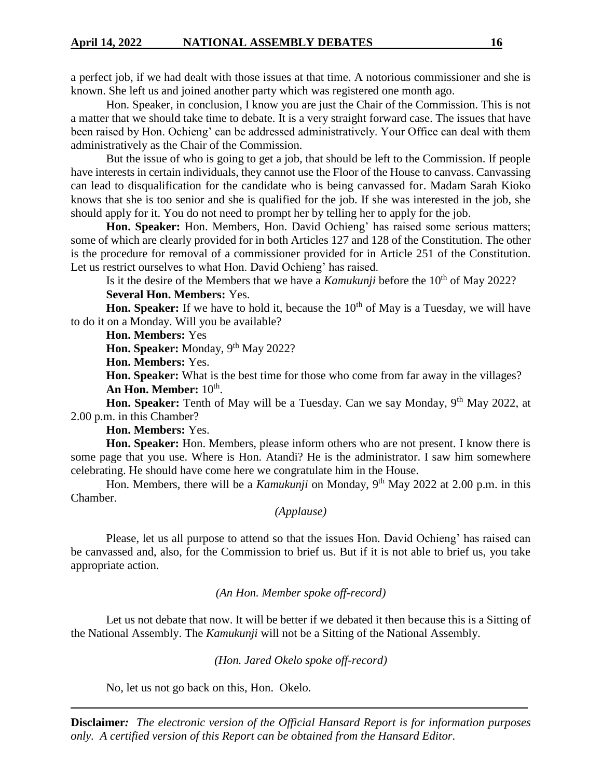a perfect job, if we had dealt with those issues at that time. A notorious commissioner and she is known. She left us and joined another party which was registered one month ago.

Hon. Speaker, in conclusion, I know you are just the Chair of the Commission. This is not a matter that we should take time to debate. It is a very straight forward case. The issues that have been raised by Hon. Ochieng' can be addressed administratively. Your Office can deal with them administratively as the Chair of the Commission.

But the issue of who is going to get a job, that should be left to the Commission. If people have interests in certain individuals, they cannot use the Floor of the House to canvass. Canvassing can lead to disqualification for the candidate who is being canvassed for. Madam Sarah Kioko knows that she is too senior and she is qualified for the job. If she was interested in the job, she should apply for it. You do not need to prompt her by telling her to apply for the job.

**Hon. Speaker:** Hon. Members, Hon. David Ochieng' has raised some serious matters; some of which are clearly provided for in both Articles 127 and 128 of the Constitution. The other is the procedure for removal of a commissioner provided for in Article 251 of the Constitution. Let us restrict ourselves to what Hon. David Ochieng' has raised.

Is it the desire of the Members that we have a *Kamukunji* before the 10<sup>th</sup> of May 2022?

**Several Hon. Members:** Yes.

**Hon. Speaker:** If we have to hold it, because the 10<sup>th</sup> of May is a Tuesday, we will have to do it on a Monday. Will you be available?

**Hon. Members:** Yes

Hon. Speaker: Monday, 9<sup>th</sup> May 2022?

**Hon. Members:** Yes.

**Hon. Speaker:** What is the best time for those who come from far away in the villages? An Hon. Member:  $10^{\text{th}}$ .

**Hon. Speaker:** Tenth of May will be a Tuesday. Can we say Monday, 9<sup>th</sup> May 2022, at 2.00 p.m. in this Chamber?

**Hon. Members:** Yes.

**Hon. Speaker:** Hon. Members, please inform others who are not present. I know there is some page that you use. Where is Hon. Atandi? He is the administrator. I saw him somewhere celebrating. He should have come here we congratulate him in the House.

Hon. Members, there will be a *Kamukunji* on Monday, 9<sup>th</sup> May 2022 at 2.00 p.m. in this Chamber.

*(Applause)*

Please, let us all purpose to attend so that the issues Hon. David Ochieng' has raised can be canvassed and, also, for the Commission to brief us. But if it is not able to brief us, you take appropriate action.

*(An Hon. Member spoke off-record)*

Let us not debate that now. It will be better if we debated it then because this is a Sitting of the National Assembly. The *Kamukunji* will not be a Sitting of the National Assembly.

*(Hon. Jared Okelo spoke off-record)*

No, let us not go back on this, Hon. Okelo.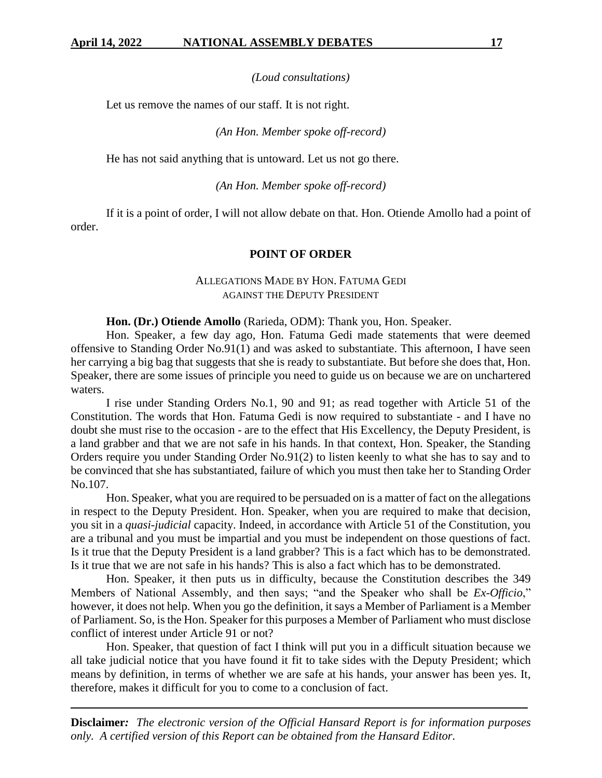*(Loud consultations)*

Let us remove the names of our staff. It is not right.

*(An Hon. Member spoke off-record)*

He has not said anything that is untoward. Let us not go there.

*(An Hon. Member spoke off-record)*

If it is a point of order, I will not allow debate on that. Hon. Otiende Amollo had a point of order.

### **POINT OF ORDER**

# ALLEGATIONS MADE BY HON. FATUMA GEDI AGAINST THE DEPUTY PRESIDENT

**Hon. (Dr.) Otiende Amollo** (Rarieda, ODM): Thank you, Hon. Speaker.

Hon. Speaker, a few day ago, Hon. Fatuma Gedi made statements that were deemed offensive to Standing Order No.91(1) and was asked to substantiate. This afternoon, I have seen her carrying a big bag that suggests that she is ready to substantiate. But before she does that, Hon. Speaker, there are some issues of principle you need to guide us on because we are on unchartered waters.

I rise under Standing Orders No.1, 90 and 91; as read together with Article 51 of the Constitution. The words that Hon. Fatuma Gedi is now required to substantiate - and I have no doubt she must rise to the occasion - are to the effect that His Excellency, the Deputy President, is a land grabber and that we are not safe in his hands. In that context, Hon. Speaker, the Standing Orders require you under Standing Order No.91(2) to listen keenly to what she has to say and to be convinced that she has substantiated, failure of which you must then take her to Standing Order No.107.

Hon. Speaker, what you are required to be persuaded on is a matter of fact on the allegations in respect to the Deputy President. Hon. Speaker, when you are required to make that decision, you sit in a *quasi-judicial* capacity. Indeed, in accordance with Article 51 of the Constitution, you are a tribunal and you must be impartial and you must be independent on those questions of fact. Is it true that the Deputy President is a land grabber? This is a fact which has to be demonstrated. Is it true that we are not safe in his hands? This is also a fact which has to be demonstrated.

Hon. Speaker, it then puts us in difficulty, because the Constitution describes the 349 Members of National Assembly, and then says; "and the Speaker who shall be *Ex-Officio*," however, it does not help. When you go the definition, it says a Member of Parliament is a Member of Parliament. So, is the Hon. Speaker for this purposes a Member of Parliament who must disclose conflict of interest under Article 91 or not?

Hon. Speaker, that question of fact I think will put you in a difficult situation because we all take judicial notice that you have found it fit to take sides with the Deputy President; which means by definition, in terms of whether we are safe at his hands, your answer has been yes. It, therefore, makes it difficult for you to come to a conclusion of fact.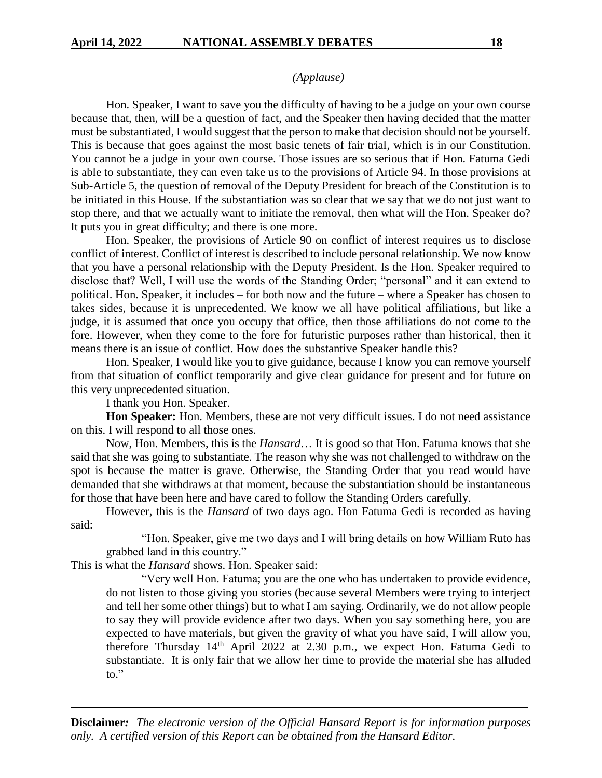#### *(Applause)*

Hon. Speaker, I want to save you the difficulty of having to be a judge on your own course because that, then, will be a question of fact, and the Speaker then having decided that the matter must be substantiated, I would suggest that the person to make that decision should not be yourself. This is because that goes against the most basic tenets of fair trial, which is in our Constitution. You cannot be a judge in your own course. Those issues are so serious that if Hon. Fatuma Gedi is able to substantiate, they can even take us to the provisions of Article 94. In those provisions at Sub-Article 5, the question of removal of the Deputy President for breach of the Constitution is to be initiated in this House. If the substantiation was so clear that we say that we do not just want to stop there, and that we actually want to initiate the removal, then what will the Hon. Speaker do? It puts you in great difficulty; and there is one more.

Hon. Speaker, the provisions of Article 90 on conflict of interest requires us to disclose conflict of interest. Conflict of interest is described to include personal relationship. We now know that you have a personal relationship with the Deputy President. Is the Hon. Speaker required to disclose that? Well, I will use the words of the Standing Order; "personal" and it can extend to political. Hon. Speaker, it includes – for both now and the future – where a Speaker has chosen to takes sides, because it is unprecedented. We know we all have political affiliations, but like a judge, it is assumed that once you occupy that office, then those affiliations do not come to the fore. However, when they come to the fore for futuristic purposes rather than historical, then it means there is an issue of conflict. How does the substantive Speaker handle this?

Hon. Speaker, I would like you to give guidance, because I know you can remove yourself from that situation of conflict temporarily and give clear guidance for present and for future on this very unprecedented situation.

I thank you Hon. Speaker.

**Hon Speaker:** Hon. Members, these are not very difficult issues. I do not need assistance on this. I will respond to all those ones.

Now, Hon. Members, this is the *Hansard*… It is good so that Hon. Fatuma knows that she said that she was going to substantiate. The reason why she was not challenged to withdraw on the spot is because the matter is grave. Otherwise, the Standing Order that you read would have demanded that she withdraws at that moment, because the substantiation should be instantaneous for those that have been here and have cared to follow the Standing Orders carefully.

However, this is the *Hansard* of two days ago. Hon Fatuma Gedi is recorded as having said:

"Hon. Speaker, give me two days and I will bring details on how William Ruto has grabbed land in this country."

This is what the *Hansard* shows. Hon. Speaker said:

"Very well Hon. Fatuma; you are the one who has undertaken to provide evidence, do not listen to those giving you stories (because several Members were trying to interject and tell her some other things) but to what I am saying. Ordinarily, we do not allow people to say they will provide evidence after two days. When you say something here, you are expected to have materials, but given the gravity of what you have said, I will allow you, therefore Thursday  $14<sup>th</sup>$  April 2022 at 2.30 p.m., we expect Hon. Fatuma Gedi to substantiate. It is only fair that we allow her time to provide the material she has alluded to."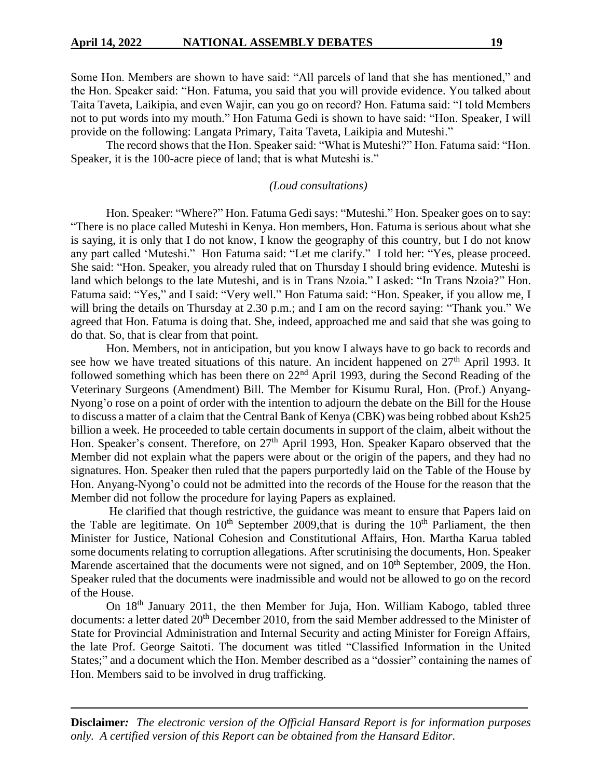Some Hon. Members are shown to have said: "All parcels of land that she has mentioned," and the Hon. Speaker said: "Hon. Fatuma, you said that you will provide evidence. You talked about Taita Taveta, Laikipia, and even Wajir, can you go on record? Hon. Fatuma said: "I told Members not to put words into my mouth." Hon Fatuma Gedi is shown to have said: "Hon. Speaker, I will provide on the following: Langata Primary, Taita Taveta, Laikipia and Muteshi."

The record shows that the Hon. Speaker said: "What is Muteshi?" Hon. Fatuma said: "Hon. Speaker, it is the 100-acre piece of land; that is what Muteshi is."

#### *(Loud consultations)*

Hon. Speaker: "Where?" Hon. Fatuma Gedi says: "Muteshi." Hon. Speaker goes on to say: "There is no place called Muteshi in Kenya. Hon members, Hon. Fatuma is serious about what she is saying, it is only that I do not know, I know the geography of this country, but I do not know any part called 'Muteshi." Hon Fatuma said: "Let me clarify." I told her: "Yes, please proceed. She said: "Hon. Speaker, you already ruled that on Thursday I should bring evidence. Muteshi is land which belongs to the late Muteshi, and is in Trans Nzoia." I asked: "In Trans Nzoia?" Hon. Fatuma said: "Yes," and I said: "Very well." Hon Fatuma said: "Hon. Speaker, if you allow me, I will bring the details on Thursday at 2.30 p.m.; and I am on the record saying: "Thank you." We agreed that Hon. Fatuma is doing that. She, indeed, approached me and said that she was going to do that. So, that is clear from that point.

Hon. Members, not in anticipation, but you know I always have to go back to records and see how we have treated situations of this nature. An incident happened on  $27<sup>th</sup>$  April 1993. It followed something which has been there on  $22<sup>nd</sup>$  April 1993, during the Second Reading of the Veterinary Surgeons (Amendment) Bill. The Member for Kisumu Rural, Hon. (Prof.) Anyang-Nyong'o rose on a point of order with the intention to adjourn the debate on the Bill for the House to discuss a matter of a claim that the Central Bank of Kenya (CBK) was being robbed about Ksh25 billion a week. He proceeded to table certain documents in support of the claim, albeit without the Hon. Speaker's consent. Therefore, on 27<sup>th</sup> April 1993, Hon. Speaker Kaparo observed that the Member did not explain what the papers were about or the origin of the papers, and they had no signatures. Hon. Speaker then ruled that the papers purportedly laid on the Table of the House by Hon. Anyang-Nyong'o could not be admitted into the records of the House for the reason that the Member did not follow the procedure for laying Papers as explained.

He clarified that though restrictive, the guidance was meant to ensure that Papers laid on the Table are legitimate. On  $10<sup>th</sup>$  September 2009, that is during the  $10<sup>th</sup>$  Parliament, the then Minister for Justice, National Cohesion and Constitutional Affairs, Hon. Martha Karua tabled some documents relating to corruption allegations. After scrutinising the documents, Hon. Speaker Marende ascertained that the documents were not signed, and on 10<sup>th</sup> September, 2009, the Hon. Speaker ruled that the documents were inadmissible and would not be allowed to go on the record of the House.

On 18th January 2011, the then Member for Juja, Hon. William Kabogo, tabled three documents: a letter dated 20<sup>th</sup> December 2010, from the said Member addressed to the Minister of State for Provincial Administration and Internal Security and acting Minister for Foreign Affairs, the late Prof. George Saitoti. The document was titled "Classified Information in the United States;" and a document which the Hon. Member described as a "dossier" containing the names of Hon. Members said to be involved in drug trafficking.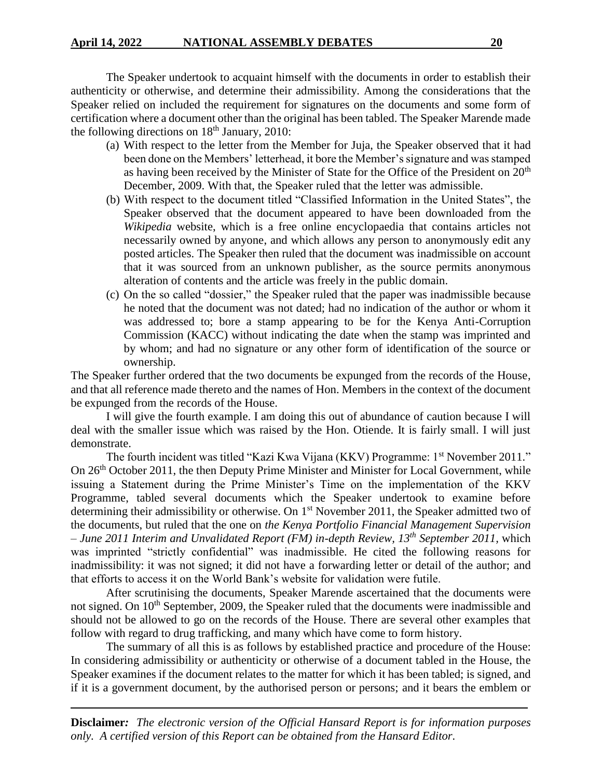The Speaker undertook to acquaint himself with the documents in order to establish their authenticity or otherwise, and determine their admissibility. Among the considerations that the Speaker relied on included the requirement for signatures on the documents and some form of certification where a document other than the original has been tabled. The Speaker Marende made the following directions on  $18<sup>th</sup>$  January, 2010:

- (a) With respect to the letter from the Member for Juja, the Speaker observed that it had been done on the Members' letterhead, it bore the Member's signature and was stamped as having been received by the Minister of State for the Office of the President on  $20<sup>th</sup>$ December, 2009. With that, the Speaker ruled that the letter was admissible.
- (b) With respect to the document titled "Classified Information in the United States", the Speaker observed that the document appeared to have been downloaded from the *Wikipedia* website, which is a free online encyclopaedia that contains articles not necessarily owned by anyone, and which allows any person to anonymously edit any posted articles. The Speaker then ruled that the document was inadmissible on account that it was sourced from an unknown publisher, as the source permits anonymous alteration of contents and the article was freely in the public domain.
- (c) On the so called "dossier," the Speaker ruled that the paper was inadmissible because he noted that the document was not dated; had no indication of the author or whom it was addressed to; bore a stamp appearing to be for the Kenya Anti-Corruption Commission (KACC) without indicating the date when the stamp was imprinted and by whom; and had no signature or any other form of identification of the source or ownership.

The Speaker further ordered that the two documents be expunged from the records of the House, and that all reference made thereto and the names of Hon. Members in the context of the document be expunged from the records of the House.

I will give the fourth example. I am doing this out of abundance of caution because I will deal with the smaller issue which was raised by the Hon. Otiende. It is fairly small. I will just demonstrate.

The fourth incident was titled "Kazi Kwa Vijana (KKV) Programme: 1<sup>st</sup> November 2011." On 26<sup>th</sup> October 2011, the then Deputy Prime Minister and Minister for Local Government, while issuing a Statement during the Prime Minister's Time on the implementation of the KKV Programme, tabled several documents which the Speaker undertook to examine before determining their admissibility or otherwise. On 1<sup>st</sup> November 2011, the Speaker admitted two of the documents, but ruled that the one on *the Kenya Portfolio Financial Management Supervision – June 2011 Interim and Unvalidated Report (FM) in-depth Review, 13th September 2011,* which was imprinted "strictly confidential" was inadmissible. He cited the following reasons for inadmissibility: it was not signed; it did not have a forwarding letter or detail of the author; and that efforts to access it on the World Bank's website for validation were futile.

After scrutinising the documents, Speaker Marende ascertained that the documents were not signed. On 10<sup>th</sup> September, 2009, the Speaker ruled that the documents were inadmissible and should not be allowed to go on the records of the House. There are several other examples that follow with regard to drug trafficking, and many which have come to form history.

The summary of all this is as follows by established practice and procedure of the House: In considering admissibility or authenticity or otherwise of a document tabled in the House, the Speaker examines if the document relates to the matter for which it has been tabled; is signed, and if it is a government document, by the authorised person or persons; and it bears the emblem or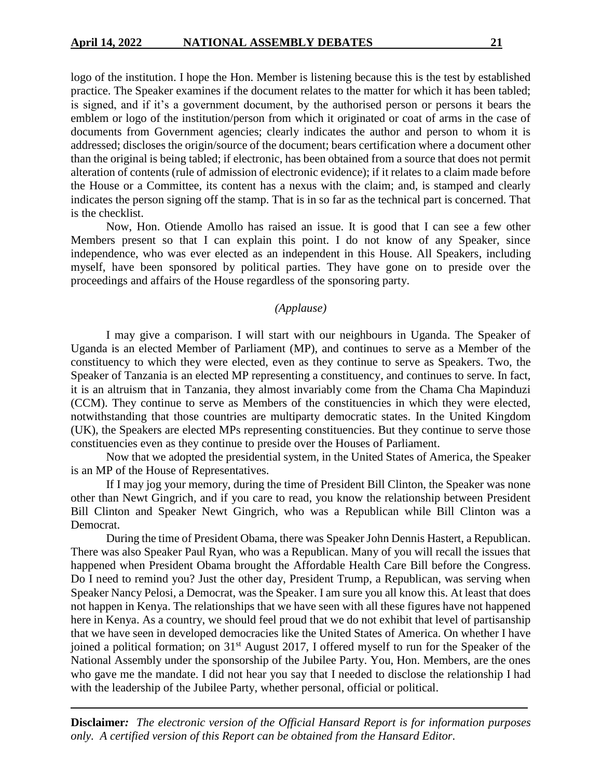logo of the institution. I hope the Hon. Member is listening because this is the test by established practice. The Speaker examines if the document relates to the matter for which it has been tabled; is signed, and if it's a government document, by the authorised person or persons it bears the emblem or logo of the institution/person from which it originated or coat of arms in the case of documents from Government agencies; clearly indicates the author and person to whom it is addressed; discloses the origin/source of the document; bears certification where a document other than the original is being tabled; if electronic, has been obtained from a source that does not permit alteration of contents (rule of admission of electronic evidence); if it relates to a claim made before the House or a Committee, its content has a nexus with the claim; and, is stamped and clearly indicates the person signing off the stamp. That is in so far as the technical part is concerned. That is the checklist.

Now, Hon. Otiende Amollo has raised an issue. It is good that I can see a few other Members present so that I can explain this point. I do not know of any Speaker, since independence, who was ever elected as an independent in this House. All Speakers, including myself, have been sponsored by political parties. They have gone on to preside over the proceedings and affairs of the House regardless of the sponsoring party.

### *(Applause)*

I may give a comparison. I will start with our neighbours in Uganda. The Speaker of Uganda is an elected Member of Parliament (MP), and continues to serve as a Member of the constituency to which they were elected, even as they continue to serve as Speakers. Two, the Speaker of Tanzania is an elected MP representing a constituency, and continues to serve. In fact, it is an altruism that in Tanzania, they almost invariably come from the Chama Cha Mapinduzi (CCM). They continue to serve as Members of the constituencies in which they were elected, notwithstanding that those countries are multiparty democratic states. In the United Kingdom (UK), the Speakers are elected MPs representing constituencies. But they continue to serve those constituencies even as they continue to preside over the Houses of Parliament.

Now that we adopted the presidential system, in the United States of America, the Speaker is an MP of the House of Representatives.

If I may jog your memory, during the time of President Bill Clinton, the Speaker was none other than Newt Gingrich, and if you care to read, you know the relationship between President Bill Clinton and Speaker Newt Gingrich, who was a Republican while Bill Clinton was a Democrat.

During the time of President Obama, there was Speaker John Dennis Hastert, a Republican. There was also Speaker Paul Ryan, who was a Republican. Many of you will recall the issues that happened when President Obama brought the Affordable Health Care Bill before the Congress. Do I need to remind you? Just the other day, President Trump, a Republican, was serving when Speaker Nancy Pelosi, a Democrat, was the Speaker. I am sure you all know this. At least that does not happen in Kenya. The relationships that we have seen with all these figures have not happened here in Kenya. As a country, we should feel proud that we do not exhibit that level of partisanship that we have seen in developed democracies like the United States of America. On whether I have joined a political formation; on 31<sup>st</sup> August 2017, I offered myself to run for the Speaker of the National Assembly under the sponsorship of the Jubilee Party. You, Hon. Members, are the ones who gave me the mandate. I did not hear you say that I needed to disclose the relationship I had with the leadership of the Jubilee Party, whether personal, official or political.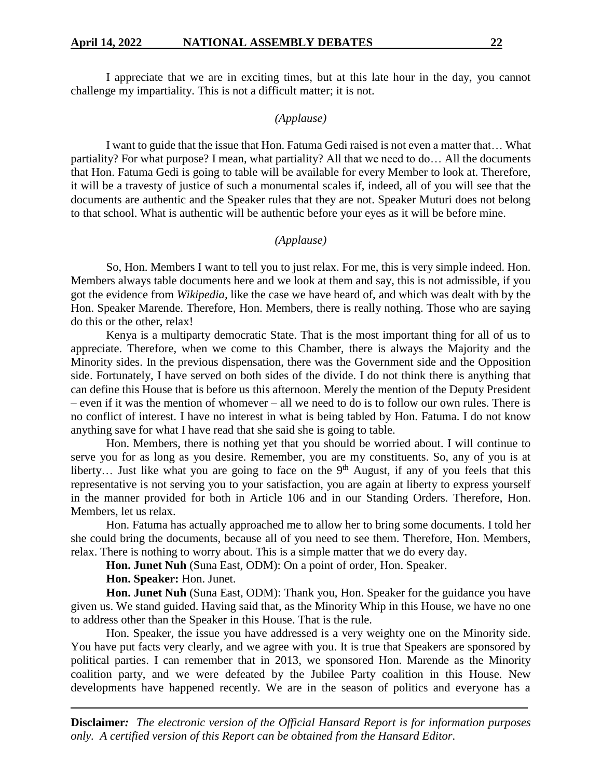I appreciate that we are in exciting times, but at this late hour in the day, you cannot challenge my impartiality. This is not a difficult matter; it is not.

### *(Applause)*

I want to guide that the issue that Hon. Fatuma Gedi raised is not even a matter that… What partiality? For what purpose? I mean, what partiality? All that we need to do… All the documents that Hon. Fatuma Gedi is going to table will be available for every Member to look at. Therefore, it will be a travesty of justice of such a monumental scales if, indeed, all of you will see that the documents are authentic and the Speaker rules that they are not. Speaker Muturi does not belong to that school. What is authentic will be authentic before your eyes as it will be before mine.

#### *(Applause)*

So, Hon. Members I want to tell you to just relax. For me, this is very simple indeed. Hon. Members always table documents here and we look at them and say, this is not admissible, if you got the evidence from *Wikipedia,* like the case we have heard of, and which was dealt with by the Hon. Speaker Marende. Therefore, Hon. Members, there is really nothing. Those who are saying do this or the other, relax!

Kenya is a multiparty democratic State. That is the most important thing for all of us to appreciate. Therefore, when we come to this Chamber, there is always the Majority and the Minority sides. In the previous dispensation, there was the Government side and the Opposition side. Fortunately, I have served on both sides of the divide. I do not think there is anything that can define this House that is before us this afternoon. Merely the mention of the Deputy President – even if it was the mention of whomever – all we need to do is to follow our own rules. There is no conflict of interest. I have no interest in what is being tabled by Hon. Fatuma. I do not know anything save for what I have read that she said she is going to table.

Hon. Members, there is nothing yet that you should be worried about. I will continue to serve you for as long as you desire. Remember, you are my constituents. So, any of you is at liberty... Just like what you are going to face on the  $9<sup>th</sup>$  August, if any of you feels that this representative is not serving you to your satisfaction, you are again at liberty to express yourself in the manner provided for both in Article 106 and in our Standing Orders. Therefore, Hon. Members, let us relax.

Hon. Fatuma has actually approached me to allow her to bring some documents. I told her she could bring the documents, because all of you need to see them. Therefore, Hon. Members, relax. There is nothing to worry about. This is a simple matter that we do every day.

**Hon. Junet Nuh** (Suna East, ODM): On a point of order, Hon. Speaker.

**Hon. Speaker:** Hon. Junet.

**Hon. Junet Nuh** (Suna East, ODM): Thank you, Hon. Speaker for the guidance you have given us. We stand guided. Having said that, as the Minority Whip in this House, we have no one to address other than the Speaker in this House. That is the rule.

Hon. Speaker, the issue you have addressed is a very weighty one on the Minority side. You have put facts very clearly, and we agree with you. It is true that Speakers are sponsored by political parties. I can remember that in 2013, we sponsored Hon. Marende as the Minority coalition party, and we were defeated by the Jubilee Party coalition in this House. New developments have happened recently. We are in the season of politics and everyone has a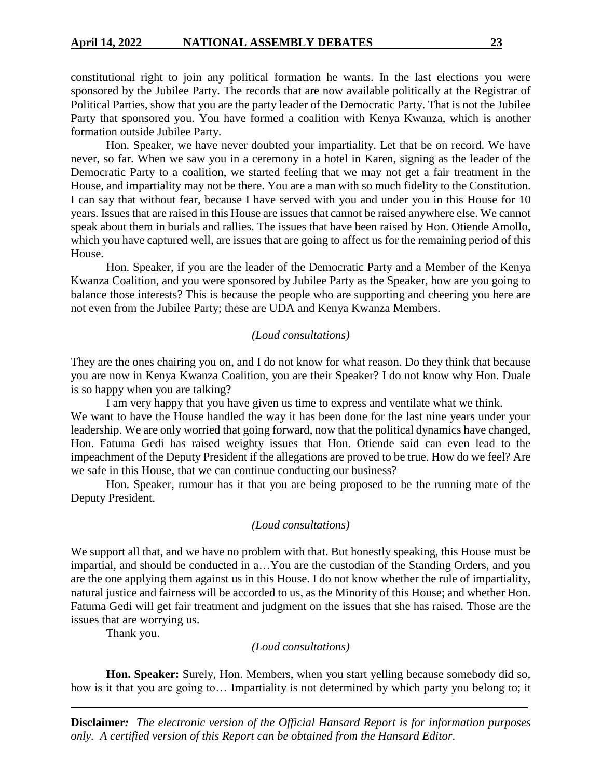constitutional right to join any political formation he wants. In the last elections you were sponsored by the Jubilee Party. The records that are now available politically at the Registrar of Political Parties, show that you are the party leader of the Democratic Party. That is not the Jubilee Party that sponsored you. You have formed a coalition with Kenya Kwanza, which is another formation outside Jubilee Party.

Hon. Speaker, we have never doubted your impartiality. Let that be on record. We have never, so far. When we saw you in a ceremony in a hotel in Karen, signing as the leader of the Democratic Party to a coalition, we started feeling that we may not get a fair treatment in the House, and impartiality may not be there. You are a man with so much fidelity to the Constitution. I can say that without fear, because I have served with you and under you in this House for 10 years. Issues that are raised in this House are issues that cannot be raised anywhere else. We cannot speak about them in burials and rallies. The issues that have been raised by Hon. Otiende Amollo, which you have captured well, are issues that are going to affect us for the remaining period of this House.

Hon. Speaker, if you are the leader of the Democratic Party and a Member of the Kenya Kwanza Coalition, and you were sponsored by Jubilee Party as the Speaker, how are you going to balance those interests? This is because the people who are supporting and cheering you here are not even from the Jubilee Party; these are UDA and Kenya Kwanza Members.

#### *(Loud consultations)*

They are the ones chairing you on, and I do not know for what reason. Do they think that because you are now in Kenya Kwanza Coalition, you are their Speaker? I do not know why Hon. Duale is so happy when you are talking?

I am very happy that you have given us time to express and ventilate what we think. We want to have the House handled the way it has been done for the last nine years under your leadership. We are only worried that going forward, now that the political dynamics have changed, Hon. Fatuma Gedi has raised weighty issues that Hon. Otiende said can even lead to the impeachment of the Deputy President if the allegations are proved to be true. How do we feel? Are we safe in this House, that we can continue conducting our business?

Hon. Speaker, rumour has it that you are being proposed to be the running mate of the Deputy President.

#### *(Loud consultations)*

We support all that, and we have no problem with that. But honestly speaking, this House must be impartial, and should be conducted in a…You are the custodian of the Standing Orders, and you are the one applying them against us in this House. I do not know whether the rule of impartiality, natural justice and fairness will be accorded to us, as the Minority of this House; and whether Hon. Fatuma Gedi will get fair treatment and judgment on the issues that she has raised. Those are the issues that are worrying us.

Thank you.

#### *(Loud consultations)*

**Hon. Speaker:** Surely, Hon. Members, when you start yelling because somebody did so, how is it that you are going to… Impartiality is not determined by which party you belong to; it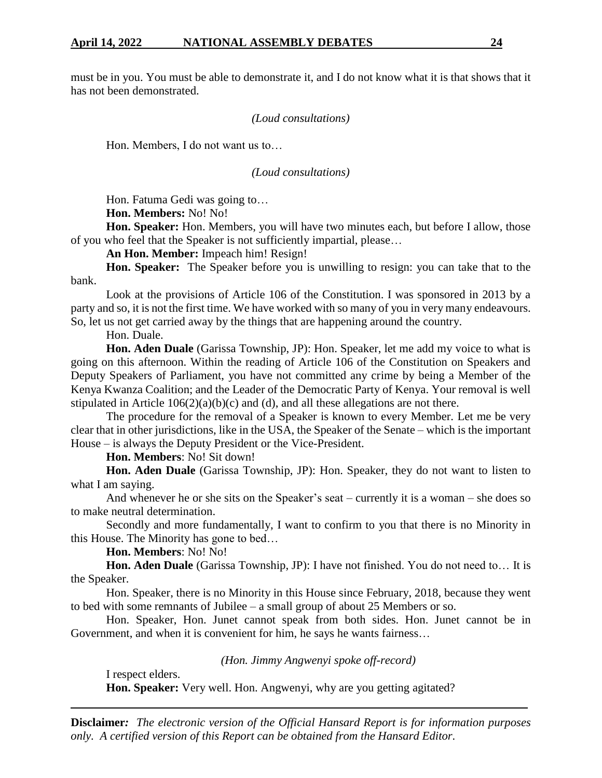must be in you. You must be able to demonstrate it, and I do not know what it is that shows that it has not been demonstrated.

### *(Loud consultations)*

Hon. Members, I do not want us to…

#### *(Loud consultations)*

Hon. Fatuma Gedi was going to…

**Hon. Members:** No! No!

**Hon. Speaker:** Hon. Members, you will have two minutes each, but before I allow, those of you who feel that the Speaker is not sufficiently impartial, please…

**An Hon. Member:** Impeach him! Resign!

**Hon. Speaker:** The Speaker before you is unwilling to resign: you can take that to the bank.

Look at the provisions of Article 106 of the Constitution. I was sponsored in 2013 by a party and so, it is not the first time. We have worked with so many of you in very many endeavours. So, let us not get carried away by the things that are happening around the country.

Hon. Duale.

**Hon. Aden Duale** (Garissa Township, JP): Hon. Speaker, let me add my voice to what is going on this afternoon. Within the reading of Article 106 of the Constitution on Speakers and Deputy Speakers of Parliament, you have not committed any crime by being a Member of the Kenya Kwanza Coalition; and the Leader of the Democratic Party of Kenya. Your removal is well stipulated in Article  $106(2)(a)(b)(c)$  and (d), and all these allegations are not there.

The procedure for the removal of a Speaker is known to every Member. Let me be very clear that in other jurisdictions, like in the USA, the Speaker of the Senate – which is the important House – is always the Deputy President or the Vice-President.

**Hon. Members**: No! Sit down!

**Hon. Aden Duale** (Garissa Township, JP): Hon. Speaker, they do not want to listen to what I am saying.

And whenever he or she sits on the Speaker's seat – currently it is a woman – she does so to make neutral determination.

Secondly and more fundamentally, I want to confirm to you that there is no Minority in this House. The Minority has gone to bed…

**Hon. Members**: No! No!

**Hon. Aden Duale** (Garissa Township, JP): I have not finished. You do not need to… It is the Speaker.

Hon. Speaker, there is no Minority in this House since February, 2018, because they went to bed with some remnants of Jubilee – a small group of about 25 Members or so.

Hon. Speaker, Hon. Junet cannot speak from both sides. Hon. Junet cannot be in Government, and when it is convenient for him, he says he wants fairness…

*(Hon. Jimmy Angwenyi spoke off-record)*

I respect elders.

**Hon. Speaker:** Very well. Hon. Angwenyi, why are you getting agitated?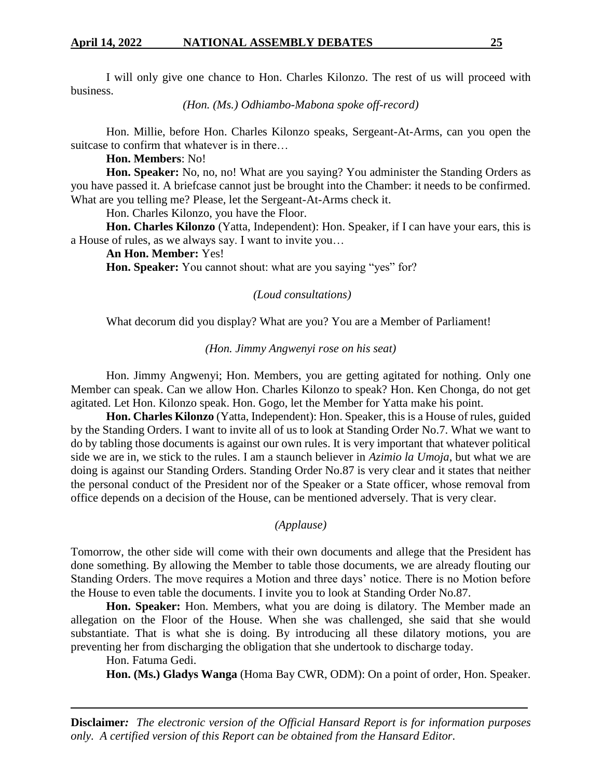I will only give one chance to Hon. Charles Kilonzo. The rest of us will proceed with business.

*(Hon. (Ms.) Odhiambo-Mabona spoke off-record)*

Hon. Millie, before Hon. Charles Kilonzo speaks, Sergeant-At-Arms, can you open the suitcase to confirm that whatever is in there…

**Hon. Members**: No!

**Hon. Speaker:** No, no, no! What are you saying? You administer the Standing Orders as you have passed it. A briefcase cannot just be brought into the Chamber: it needs to be confirmed. What are you telling me? Please, let the Sergeant-At-Arms check it.

Hon. Charles Kilonzo, you have the Floor.

**Hon. Charles Kilonzo** (Yatta, Independent): Hon. Speaker, if I can have your ears, this is a House of rules, as we always say. I want to invite you…

**An Hon. Member:** Yes!

**Hon. Speaker:** You cannot shout: what are you saying "yes" for?

*(Loud consultations)*

What decorum did you display? What are you? You are a Member of Parliament!

*(Hon. Jimmy Angwenyi rose on his seat)*

Hon. Jimmy Angwenyi; Hon. Members, you are getting agitated for nothing. Only one Member can speak. Can we allow Hon. Charles Kilonzo to speak? Hon. Ken Chonga, do not get agitated. Let Hon. Kilonzo speak. Hon. Gogo, let the Member for Yatta make his point.

**Hon. Charles Kilonzo** (Yatta, Independent): Hon. Speaker, this is a House of rules, guided by the Standing Orders. I want to invite all of us to look at Standing Order No.7. What we want to do by tabling those documents is against our own rules. It is very important that whatever political side we are in, we stick to the rules. I am a staunch believer in *Azimio la Umoja*, but what we are doing is against our Standing Orders. Standing Order No.87 is very clear and it states that neither the personal conduct of the President nor of the Speaker or a State officer, whose removal from office depends on a decision of the House, can be mentioned adversely. That is very clear.

*(Applause)*

Tomorrow, the other side will come with their own documents and allege that the President has done something. By allowing the Member to table those documents, we are already flouting our Standing Orders. The move requires a Motion and three days' notice. There is no Motion before the House to even table the documents. I invite you to look at Standing Order No.87.

**Hon. Speaker:** Hon. Members, what you are doing is dilatory. The Member made an allegation on the Floor of the House. When she was challenged, she said that she would substantiate. That is what she is doing. By introducing all these dilatory motions, you are preventing her from discharging the obligation that she undertook to discharge today.

Hon. Fatuma Gedi.

**Hon. (Ms.) Gladys Wanga** (Homa Bay CWR, ODM): On a point of order, Hon. Speaker.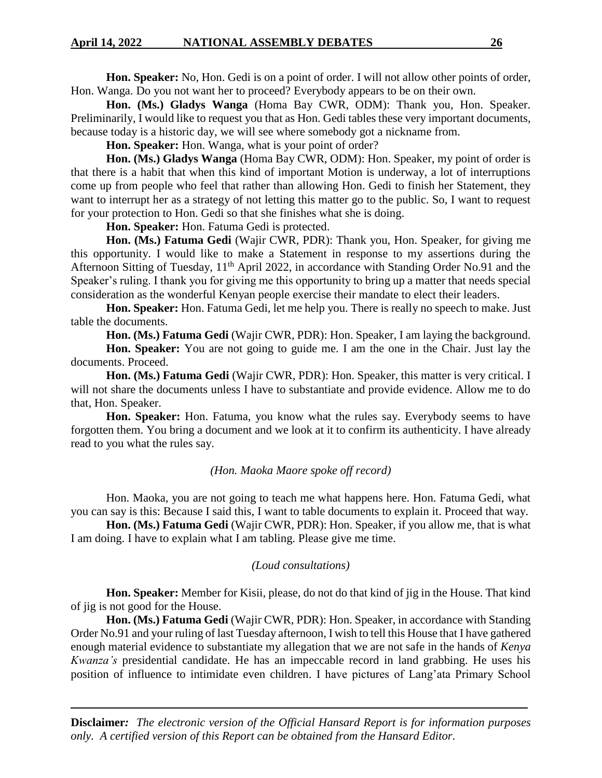**Hon. Speaker:** No, Hon. Gedi is on a point of order. I will not allow other points of order, Hon. Wanga. Do you not want her to proceed? Everybody appears to be on their own.

**Hon. (Ms.) Gladys Wanga** (Homa Bay CWR, ODM): Thank you, Hon. Speaker. Preliminarily, I would like to request you that as Hon. Gedi tables these very important documents, because today is a historic day, we will see where somebody got a nickname from.

**Hon. Speaker:** Hon. Wanga, what is your point of order?

**Hon. (Ms.) Gladys Wanga** (Homa Bay CWR, ODM): Hon. Speaker, my point of order is that there is a habit that when this kind of important Motion is underway, a lot of interruptions come up from people who feel that rather than allowing Hon. Gedi to finish her Statement, they want to interrupt her as a strategy of not letting this matter go to the public. So, I want to request for your protection to Hon. Gedi so that she finishes what she is doing.

**Hon. Speaker:** Hon. Fatuma Gedi is protected.

**Hon. (Ms.) Fatuma Gedi** (Wajir CWR, PDR): Thank you, Hon. Speaker, for giving me this opportunity. I would like to make a Statement in response to my assertions during the Afternoon Sitting of Tuesday, 11<sup>th</sup> April 2022, in accordance with Standing Order No.91 and the Speaker's ruling. I thank you for giving me this opportunity to bring up a matter that needs special consideration as the wonderful Kenyan people exercise their mandate to elect their leaders.

**Hon. Speaker:** Hon. Fatuma Gedi, let me help you. There is really no speech to make. Just table the documents.

**Hon. (Ms.) Fatuma Gedi** (Wajir CWR, PDR): Hon. Speaker, I am laying the background.

**Hon. Speaker:** You are not going to guide me. I am the one in the Chair. Just lay the documents. Proceed.

**Hon. (Ms.) Fatuma Gedi** (Wajir CWR, PDR): Hon. Speaker, this matter is very critical. I will not share the documents unless I have to substantiate and provide evidence. Allow me to do that, Hon. Speaker.

**Hon. Speaker:** Hon. Fatuma, you know what the rules say. Everybody seems to have forgotten them. You bring a document and we look at it to confirm its authenticity. I have already read to you what the rules say.

#### *(Hon. Maoka Maore spoke off record)*

Hon. Maoka, you are not going to teach me what happens here. Hon. Fatuma Gedi, what you can say is this: Because I said this, I want to table documents to explain it. Proceed that way.

**Hon. (Ms.) Fatuma Gedi** (Wajir CWR, PDR): Hon. Speaker, if you allow me, that is what I am doing. I have to explain what I am tabling. Please give me time.

#### *(Loud consultations)*

**Hon. Speaker:** Member for Kisii, please, do not do that kind of jig in the House. That kind of jig is not good for the House.

**Hon. (Ms.) Fatuma Gedi** (Wajir CWR, PDR): Hon. Speaker, in accordance with Standing Order No.91 and your ruling of last Tuesday afternoon, I wish to tell this House that I have gathered enough material evidence to substantiate my allegation that we are not safe in the hands of *Kenya Kwanza's* presidential candidate. He has an impeccable record in land grabbing. He uses his position of influence to intimidate even children. I have pictures of Lang'ata Primary School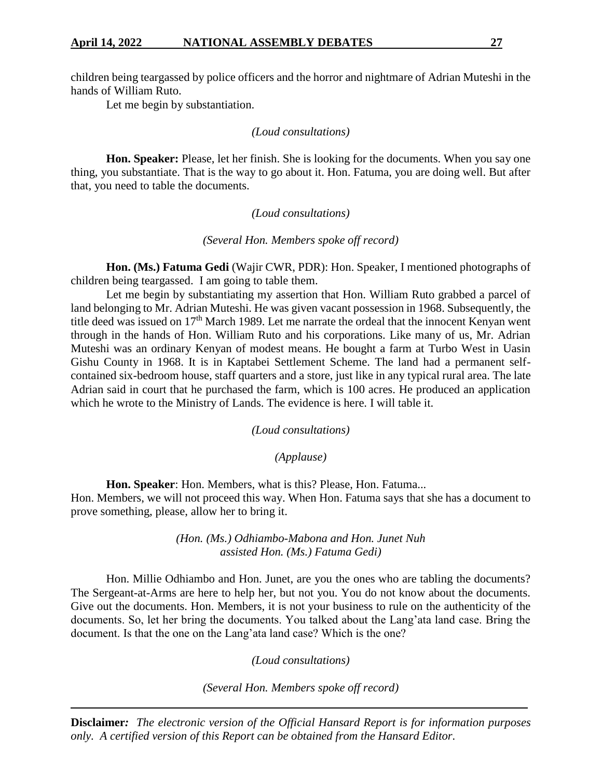children being teargassed by police officers and the horror and nightmare of Adrian Muteshi in the hands of William Ruto.

Let me begin by substantiation.

### *(Loud consultations)*

**Hon. Speaker:** Please, let her finish. She is looking for the documents. When you say one thing, you substantiate. That is the way to go about it. Hon. Fatuma, you are doing well. But after that, you need to table the documents.

## *(Loud consultations)*

*(Several Hon. Members spoke off record)*

**Hon. (Ms.) Fatuma Gedi** (Wajir CWR, PDR): Hon. Speaker, I mentioned photographs of children being teargassed. I am going to table them.

Let me begin by substantiating my assertion that Hon. William Ruto grabbed a parcel of land belonging to Mr. Adrian Muteshi. He was given vacant possession in 1968. Subsequently, the title deed was issued on 17<sup>th</sup> March 1989. Let me narrate the ordeal that the innocent Kenyan went through in the hands of Hon. William Ruto and his corporations. Like many of us, Mr. Adrian Muteshi was an ordinary Kenyan of modest means. He bought a farm at Turbo West in Uasin Gishu County in 1968. It is in Kaptabei Settlement Scheme. The land had a permanent selfcontained six-bedroom house, staff quarters and a store, just like in any typical rural area. The late Adrian said in court that he purchased the farm, which is 100 acres. He produced an application which he wrote to the Ministry of Lands. The evidence is here. I will table it.

*(Loud consultations)*

## *(Applause)*

**Hon. Speaker**: Hon. Members, what is this? Please, Hon. Fatuma...

Hon. Members, we will not proceed this way. When Hon. Fatuma says that she has a document to prove something, please, allow her to bring it.

> *(Hon. (Ms.) Odhiambo-Mabona and Hon. Junet Nuh assisted Hon. (Ms.) Fatuma Gedi)*

Hon. Millie Odhiambo and Hon. Junet, are you the ones who are tabling the documents? The Sergeant-at-Arms are here to help her, but not you. You do not know about the documents. Give out the documents. Hon. Members, it is not your business to rule on the authenticity of the documents. So, let her bring the documents. You talked about the Lang'ata land case. Bring the document. Is that the one on the Lang'ata land case? Which is the one?

*(Loud consultations)*

*(Several Hon. Members spoke off record)*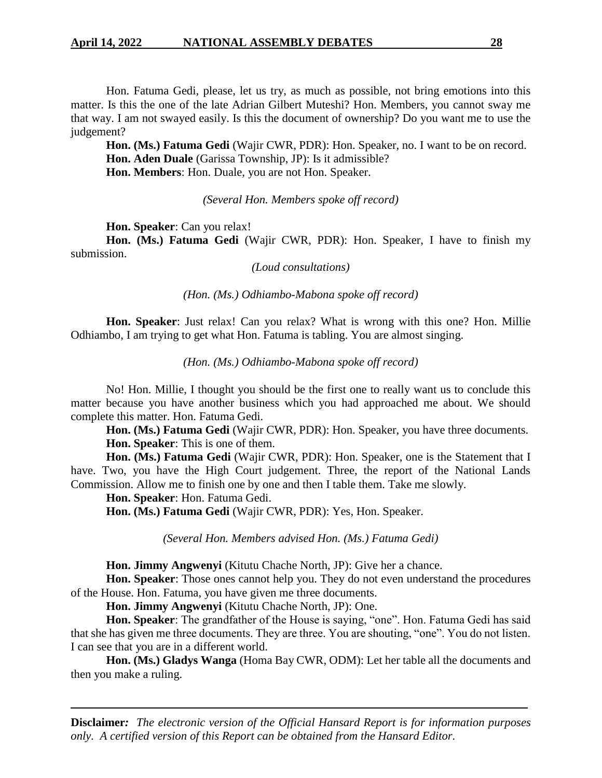Hon. Fatuma Gedi, please, let us try, as much as possible, not bring emotions into this matter. Is this the one of the late Adrian Gilbert Muteshi? Hon. Members, you cannot sway me that way. I am not swayed easily. Is this the document of ownership? Do you want me to use the judgement?

**Hon. (Ms.) Fatuma Gedi** (Wajir CWR, PDR): Hon. Speaker, no. I want to be on record. **Hon. Aden Duale** (Garissa Township, JP): Is it admissible?

**Hon. Members**: Hon. Duale, you are not Hon. Speaker.

### *(Several Hon. Members spoke off record)*

**Hon. Speaker**: Can you relax!

**Hon. (Ms.) Fatuma Gedi** (Wajir CWR, PDR): Hon. Speaker, I have to finish my submission.

*(Loud consultations)*

*(Hon. (Ms.) Odhiambo-Mabona spoke off record)*

**Hon. Speaker**: Just relax! Can you relax? What is wrong with this one? Hon. Millie Odhiambo, I am trying to get what Hon. Fatuma is tabling. You are almost singing.

*(Hon. (Ms.) Odhiambo-Mabona spoke off record)*

No! Hon. Millie, I thought you should be the first one to really want us to conclude this matter because you have another business which you had approached me about. We should complete this matter. Hon. Fatuma Gedi.

**Hon. (Ms.) Fatuma Gedi** (Wajir CWR, PDR): Hon. Speaker, you have three documents. **Hon. Speaker**: This is one of them.

**Hon. (Ms.) Fatuma Gedi** (Wajir CWR, PDR): Hon. Speaker, one is the Statement that I have. Two, you have the High Court judgement. Three, the report of the National Lands Commission. Allow me to finish one by one and then I table them. Take me slowly.

**Hon. Speaker**: Hon. Fatuma Gedi.

**Hon. (Ms.) Fatuma Gedi** (Wajir CWR, PDR): Yes, Hon. Speaker.

*(Several Hon. Members advised Hon. (Ms.) Fatuma Gedi)*

**Hon. Jimmy Angwenyi** (Kitutu Chache North, JP): Give her a chance.

**Hon. Speaker**: Those ones cannot help you. They do not even understand the procedures of the House. Hon. Fatuma, you have given me three documents.

**Hon. Jimmy Angwenyi** (Kitutu Chache North, JP): One.

**Hon. Speaker**: The grandfather of the House is saying, "one". Hon. Fatuma Gedi has said that she has given me three documents. They are three. You are shouting, "one". You do not listen. I can see that you are in a different world.

**Hon. (Ms.) Gladys Wanga** (Homa Bay CWR, ODM): Let her table all the documents and then you make a ruling.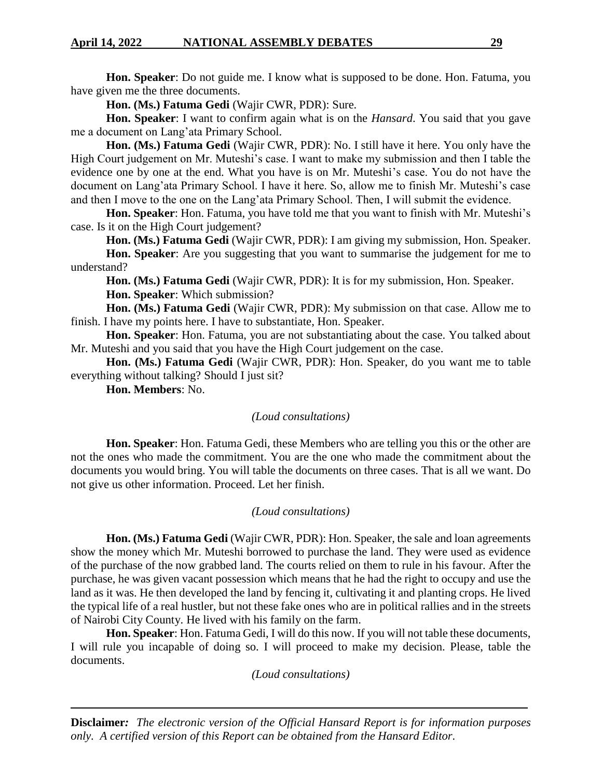**Hon. Speaker**: Do not guide me. I know what is supposed to be done. Hon. Fatuma, you have given me the three documents.

**Hon. (Ms.) Fatuma Gedi** (Wajir CWR, PDR): Sure.

**Hon. Speaker**: I want to confirm again what is on the *Hansard*. You said that you gave me a document on Lang'ata Primary School.

**Hon. (Ms.) Fatuma Gedi** (Wajir CWR, PDR): No. I still have it here. You only have the High Court judgement on Mr. Muteshi's case. I want to make my submission and then I table the evidence one by one at the end. What you have is on Mr. Muteshi's case. You do not have the document on Lang'ata Primary School. I have it here. So, allow me to finish Mr. Muteshi's case and then I move to the one on the Lang'ata Primary School. Then, I will submit the evidence.

**Hon. Speaker**: Hon. Fatuma, you have told me that you want to finish with Mr. Muteshi's case. Is it on the High Court judgement?

**Hon. (Ms.) Fatuma Gedi** (Wajir CWR, PDR): I am giving my submission, Hon. Speaker. **Hon. Speaker**: Are you suggesting that you want to summarise the judgement for me to

understand?

**Hon. (Ms.) Fatuma Gedi** (Wajir CWR, PDR): It is for my submission, Hon. Speaker. **Hon. Speaker**: Which submission?

**Hon. (Ms.) Fatuma Gedi** (Wajir CWR, PDR): My submission on that case. Allow me to finish. I have my points here. I have to substantiate, Hon. Speaker.

**Hon. Speaker**: Hon. Fatuma, you are not substantiating about the case. You talked about Mr. Muteshi and you said that you have the High Court judgement on the case.

**Hon. (Ms.) Fatuma Gedi** (Wajir CWR, PDR): Hon. Speaker, do you want me to table everything without talking? Should I just sit?

**Hon. Members**: No.

## *(Loud consultations)*

**Hon. Speaker**: Hon. Fatuma Gedi, these Members who are telling you this or the other are not the ones who made the commitment. You are the one who made the commitment about the documents you would bring. You will table the documents on three cases. That is all we want. Do not give us other information. Proceed. Let her finish.

#### *(Loud consultations)*

**Hon. (Ms.) Fatuma Gedi** (Wajir CWR, PDR): Hon. Speaker, the sale and loan agreements show the money which Mr. Muteshi borrowed to purchase the land. They were used as evidence of the purchase of the now grabbed land. The courts relied on them to rule in his favour. After the purchase, he was given vacant possession which means that he had the right to occupy and use the land as it was. He then developed the land by fencing it, cultivating it and planting crops. He lived the typical life of a real hustler, but not these fake ones who are in political rallies and in the streets of Nairobi City County. He lived with his family on the farm.

**Hon. Speaker**: Hon. Fatuma Gedi, I will do this now. If you will not table these documents, I will rule you incapable of doing so. I will proceed to make my decision. Please, table the documents.

*(Loud consultations)*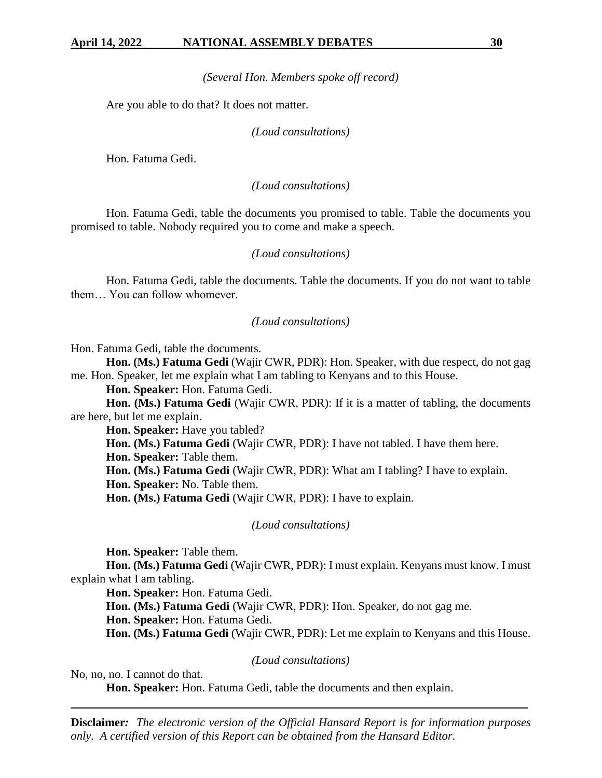*(Several Hon. Members spoke off record)*

Are you able to do that? It does not matter.

#### *(Loud consultations)*

Hon. Fatuma Gedi.

#### *(Loud consultations)*

Hon. Fatuma Gedi, table the documents you promised to table. Table the documents you promised to table. Nobody required you to come and make a speech.

#### *(Loud consultations)*

Hon. Fatuma Gedi, table the documents. Table the documents. If you do not want to table them… You can follow whomever.

#### *(Loud consultations)*

Hon. Fatuma Gedi, table the documents.

**Hon. (Ms.) Fatuma Gedi** (Wajir CWR, PDR): Hon. Speaker, with due respect, do not gag me. Hon. Speaker, let me explain what I am tabling to Kenyans and to this House.

**Hon. Speaker:** Hon. Fatuma Gedi.

**Hon. (Ms.) Fatuma Gedi** (Wajir CWR, PDR): If it is a matter of tabling, the documents are here, but let me explain.

**Hon. Speaker:** Have you tabled?

**Hon. (Ms.) Fatuma Gedi** (Wajir CWR, PDR): I have not tabled. I have them here.

**Hon. Speaker:** Table them.

**Hon. (Ms.) Fatuma Gedi** (Wajir CWR, PDR): What am I tabling? I have to explain.

**Hon. Speaker:** No. Table them.

**Hon. (Ms.) Fatuma Gedi** (Wajir CWR, PDR): I have to explain.

*(Loud consultations)*

**Hon. Speaker:** Table them.

**Hon. (Ms.) Fatuma Gedi** (Wajir CWR, PDR): I must explain. Kenyans must know. I must explain what I am tabling.

**Hon. Speaker:** Hon. Fatuma Gedi.

**Hon. (Ms.) Fatuma Gedi** (Wajir CWR, PDR): Hon. Speaker, do not gag me.

**Hon. Speaker:** Hon. Fatuma Gedi.

**Hon. (Ms.) Fatuma Gedi** (Wajir CWR, PDR): Let me explain to Kenyans and this House.

*(Loud consultations)*

No, no, no. I cannot do that.

**Hon. Speaker:** Hon. Fatuma Gedi, table the documents and then explain.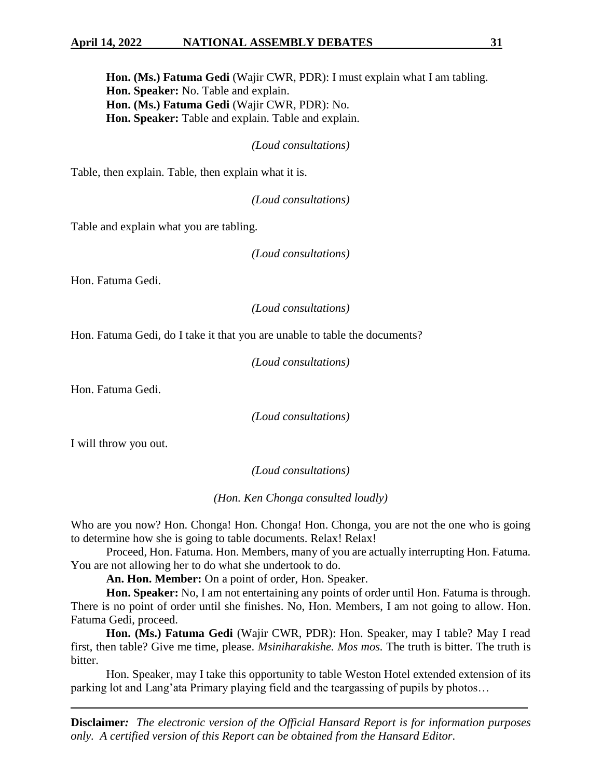### **April 14, 2022 NATIONAL ASSEMBLY DEBATES 31**

**Hon. (Ms.) Fatuma Gedi** (Wajir CWR, PDR): I must explain what I am tabling. **Hon. Speaker:** No. Table and explain. **Hon. (Ms.) Fatuma Gedi** (Wajir CWR, PDR): No. **Hon. Speaker:** Table and explain. Table and explain.

*(Loud consultations)*

Table, then explain. Table, then explain what it is.

*(Loud consultations)*

Table and explain what you are tabling.

*(Loud consultations)*

Hon. Fatuma Gedi.

*(Loud consultations)*

Hon. Fatuma Gedi, do I take it that you are unable to table the documents?

*(Loud consultations)*

Hon. Fatuma Gedi.

*(Loud consultations)*

I will throw you out.

*(Loud consultations)*

*(Hon. Ken Chonga consulted loudly)*

Who are you now? Hon. Chonga! Hon. Chonga! Hon. Chonga, you are not the one who is going to determine how she is going to table documents. Relax! Relax!

Proceed, Hon. Fatuma. Hon. Members, many of you are actually interrupting Hon. Fatuma. You are not allowing her to do what she undertook to do.

**An. Hon. Member:** On a point of order, Hon. Speaker.

**Hon. Speaker:** No, I am not entertaining any points of order until Hon. Fatuma is through. There is no point of order until she finishes. No, Hon. Members, I am not going to allow. Hon. Fatuma Gedi, proceed.

**Hon. (Ms.) Fatuma Gedi** (Wajir CWR, PDR): Hon. Speaker, may I table? May I read first, then table? Give me time, please. *Msiniharakishe. Mos mos.* The truth is bitter. The truth is bitter.

Hon. Speaker, may I take this opportunity to table Weston Hotel extended extension of its parking lot and Lang'ata Primary playing field and the teargassing of pupils by photos…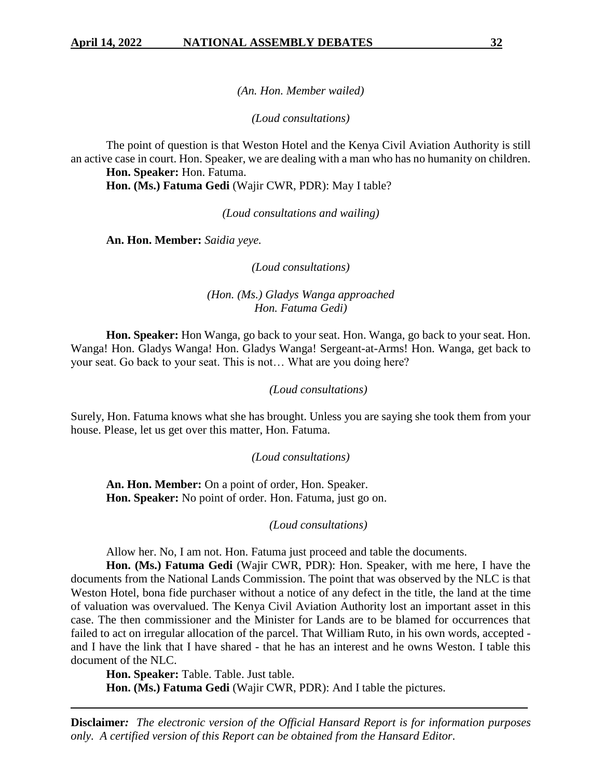*(An. Hon. Member wailed)*

*(Loud consultations)*

The point of question is that Weston Hotel and the Kenya Civil Aviation Authority is still an active case in court. Hon. Speaker, we are dealing with a man who has no humanity on children. **Hon. Speaker:** Hon. Fatuma.

**Hon. (Ms.) Fatuma Gedi** (Wajir CWR, PDR): May I table?

*(Loud consultations and wailing)*

**An. Hon. Member:** *Saidia yeye.*

*(Loud consultations)*

*(Hon. (Ms.) Gladys Wanga approached Hon. Fatuma Gedi)*

**Hon. Speaker:** Hon Wanga, go back to your seat. Hon. Wanga, go back to your seat. Hon. Wanga! Hon. Gladys Wanga! Hon. Gladys Wanga! Sergeant-at-Arms! Hon. Wanga, get back to your seat. Go back to your seat. This is not… What are you doing here?

#### *(Loud consultations)*

Surely, Hon. Fatuma knows what she has brought. Unless you are saying she took them from your house. Please, let us get over this matter, Hon. Fatuma.

#### *(Loud consultations)*

**An. Hon. Member:** On a point of order, Hon. Speaker. **Hon. Speaker:** No point of order. Hon. Fatuma, just go on.

*(Loud consultations)*

Allow her. No, I am not. Hon. Fatuma just proceed and table the documents.

**Hon. (Ms.) Fatuma Gedi** (Wajir CWR, PDR): Hon. Speaker, with me here, I have the documents from the National Lands Commission. The point that was observed by the NLC is that Weston Hotel, bona fide purchaser without a notice of any defect in the title, the land at the time of valuation was overvalued. The Kenya Civil Aviation Authority lost an important asset in this case. The then commissioner and the Minister for Lands are to be blamed for occurrences that failed to act on irregular allocation of the parcel. That William Ruto, in his own words, accepted and I have the link that I have shared - that he has an interest and he owns Weston. I table this document of the NLC.

**Hon. Speaker:** Table. Table. Just table.

**Hon. (Ms.) Fatuma Gedi** (Wajir CWR, PDR): And I table the pictures.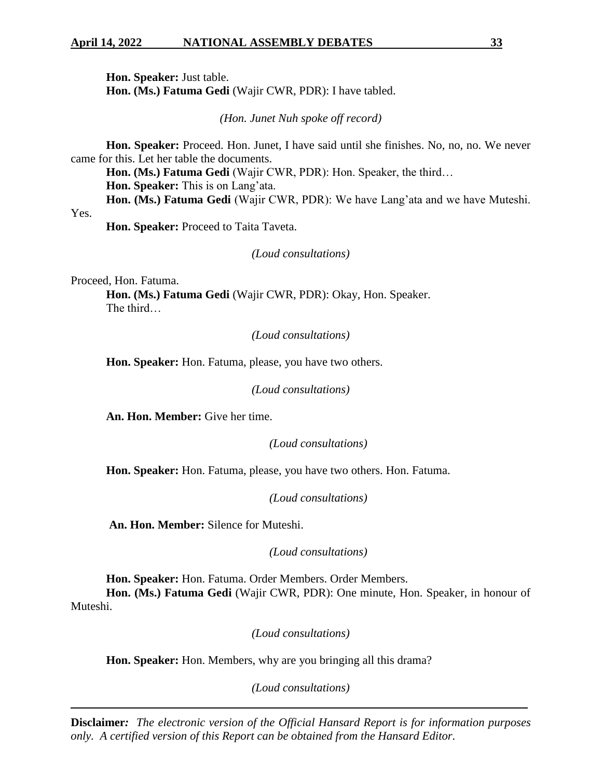**Hon. Speaker:** Just table. **Hon. (Ms.) Fatuma Gedi** (Wajir CWR, PDR): I have tabled.

*(Hon. Junet Nuh spoke off record)*

**Hon. Speaker:** Proceed. Hon. Junet, I have said until she finishes. No, no, no. We never came for this. Let her table the documents.

**Hon. (Ms.) Fatuma Gedi** (Wajir CWR, PDR): Hon. Speaker, the third… **Hon. Speaker:** This is on Lang'ata.

**Hon. (Ms.) Fatuma Gedi** (Wajir CWR, PDR): We have Lang'ata and we have Muteshi.

Yes.

**Hon. Speaker:** Proceed to Taita Taveta.

*(Loud consultations)*

Proceed, Hon. Fatuma.

**Hon. (Ms.) Fatuma Gedi** (Wajir CWR, PDR): Okay, Hon. Speaker. The third…

*(Loud consultations)*

**Hon. Speaker:** Hon. Fatuma, please, you have two others.

*(Loud consultations)*

**An. Hon. Member:** Give her time.

*(Loud consultations)*

**Hon. Speaker:** Hon. Fatuma, please, you have two others. Hon. Fatuma.

*(Loud consultations)*

**An. Hon. Member:** Silence for Muteshi.

*(Loud consultations)*

**Hon. Speaker:** Hon. Fatuma. Order Members. Order Members. **Hon. (Ms.) Fatuma Gedi** (Wajir CWR, PDR): One minute, Hon. Speaker, in honour of Muteshi.

*(Loud consultations)*

**Hon. Speaker:** Hon. Members, why are you bringing all this drama?

*(Loud consultations)*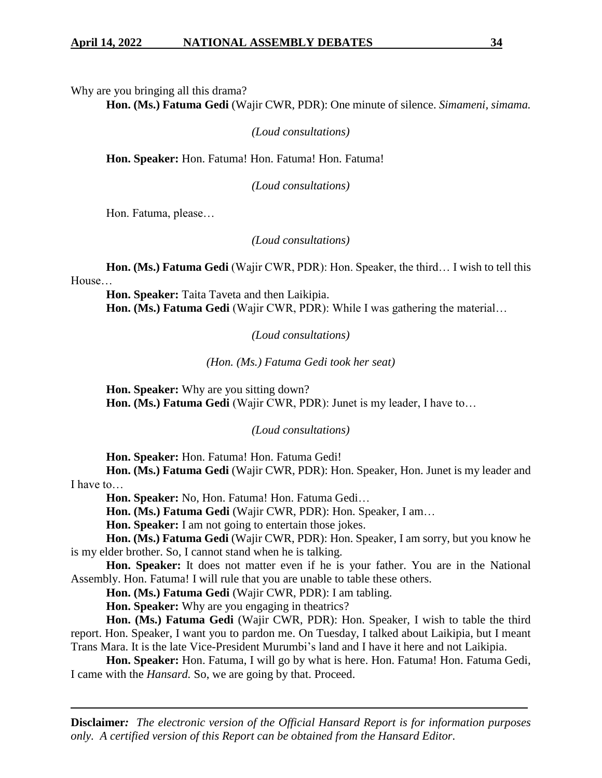Why are you bringing all this drama?

**Hon. (Ms.) Fatuma Gedi** (Wajir CWR, PDR): One minute of silence. *Simameni, simama.*

*(Loud consultations)*

**Hon. Speaker:** Hon. Fatuma! Hon. Fatuma! Hon. Fatuma!

*(Loud consultations)*

Hon. Fatuma, please…

*(Loud consultations)*

**Hon. (Ms.) Fatuma Gedi** (Wajir CWR, PDR): Hon. Speaker, the third… I wish to tell this House…

**Hon. Speaker:** Taita Taveta and then Laikipia. **Hon. (Ms.) Fatuma Gedi** (Wajir CWR, PDR): While I was gathering the material…

*(Loud consultations)*

*(Hon. (Ms.) Fatuma Gedi took her seat)*

**Hon. Speaker:** Why are you sitting down? **Hon. (Ms.) Fatuma Gedi** (Wajir CWR, PDR): Junet is my leader, I have to…

*(Loud consultations)*

**Hon. Speaker:** Hon. Fatuma! Hon. Fatuma Gedi!

**Hon. (Ms.) Fatuma Gedi** (Wajir CWR, PDR): Hon. Speaker, Hon. Junet is my leader and I have to…

**Hon. Speaker:** No, Hon. Fatuma! Hon. Fatuma Gedi…

**Hon. (Ms.) Fatuma Gedi** (Wajir CWR, PDR): Hon. Speaker, I am…

**Hon. Speaker:** I am not going to entertain those jokes.

**Hon. (Ms.) Fatuma Gedi** (Wajir CWR, PDR): Hon. Speaker, I am sorry, but you know he is my elder brother. So, I cannot stand when he is talking.

**Hon. Speaker:** It does not matter even if he is your father. You are in the National Assembly. Hon. Fatuma! I will rule that you are unable to table these others.

**Hon. (Ms.) Fatuma Gedi** (Wajir CWR, PDR): I am tabling.

**Hon. Speaker:** Why are you engaging in theatrics?

**Hon. (Ms.) Fatuma Gedi** (Wajir CWR, PDR): Hon. Speaker, I wish to table the third report. Hon. Speaker, I want you to pardon me. On Tuesday, I talked about Laikipia, but I meant Trans Mara. It is the late Vice-President Murumbi's land and I have it here and not Laikipia.

Hon. Speaker: Hon. Fatuma, I will go by what is here. Hon. Fatuma! Hon. Fatuma Gedi, I came with the *Hansard.* So, we are going by that. Proceed.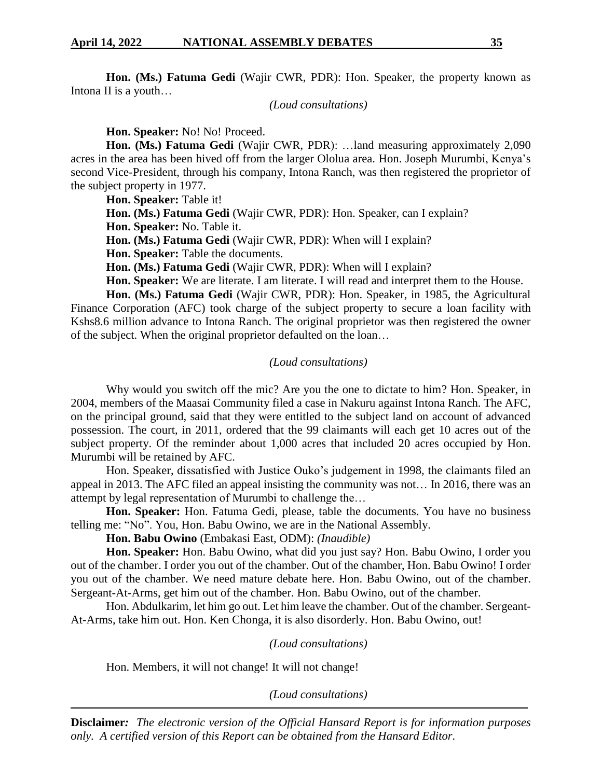**Hon. (Ms.) Fatuma Gedi** (Wajir CWR, PDR): Hon. Speaker, the property known as Intona II is a youth…

*(Loud consultations)*

**Hon. Speaker:** No! No! Proceed.

**Hon. (Ms.) Fatuma Gedi** (Wajir CWR, PDR): …land measuring approximately 2,090 acres in the area has been hived off from the larger Ololua area. Hon. Joseph Murumbi, Kenya's second Vice-President, through his company, Intona Ranch, was then registered the proprietor of the subject property in 1977.

**Hon. Speaker:** Table it!

**Hon. (Ms.) Fatuma Gedi** (Wajir CWR, PDR): Hon. Speaker, can I explain?

**Hon. Speaker:** No. Table it.

**Hon. (Ms.) Fatuma Gedi** (Wajir CWR, PDR): When will I explain?

**Hon. Speaker:** Table the documents.

**Hon. (Ms.) Fatuma Gedi** (Wajir CWR, PDR): When will I explain?

**Hon. Speaker:** We are literate. I am literate. I will read and interpret them to the House.

**Hon. (Ms.) Fatuma Gedi** (Wajir CWR, PDR): Hon. Speaker, in 1985, the Agricultural Finance Corporation (AFC) took charge of the subject property to secure a loan facility with Kshs8.6 million advance to Intona Ranch. The original proprietor was then registered the owner of the subject. When the original proprietor defaulted on the loan…

# *(Loud consultations)*

Why would you switch off the mic? Are you the one to dictate to him? Hon. Speaker, in 2004, members of the Maasai Community filed a case in Nakuru against Intona Ranch. The AFC, on the principal ground, said that they were entitled to the subject land on account of advanced possession. The court, in 2011, ordered that the 99 claimants will each get 10 acres out of the subject property. Of the reminder about 1,000 acres that included 20 acres occupied by Hon. Murumbi will be retained by AFC.

Hon. Speaker, dissatisfied with Justice Ouko's judgement in 1998, the claimants filed an appeal in 2013. The AFC filed an appeal insisting the community was not… In 2016, there was an attempt by legal representation of Murumbi to challenge the…

**Hon. Speaker:** Hon. Fatuma Gedi, please, table the documents. You have no business telling me: "No". You, Hon. Babu Owino, we are in the National Assembly.

**Hon. Babu Owino** (Embakasi East, ODM): *(Inaudible)*

**Hon. Speaker:** Hon. Babu Owino, what did you just say? Hon. Babu Owino, I order you out of the chamber. I order you out of the chamber. Out of the chamber, Hon. Babu Owino! I order you out of the chamber. We need mature debate here. Hon. Babu Owino, out of the chamber. Sergeant-At-Arms, get him out of the chamber. Hon. Babu Owino, out of the chamber.

Hon. Abdulkarim, let him go out. Let him leave the chamber. Out of the chamber. Sergeant-At-Arms, take him out. Hon. Ken Chonga, it is also disorderly. Hon. Babu Owino, out!

*(Loud consultations)*

Hon. Members, it will not change! It will not change!

*(Loud consultations)*